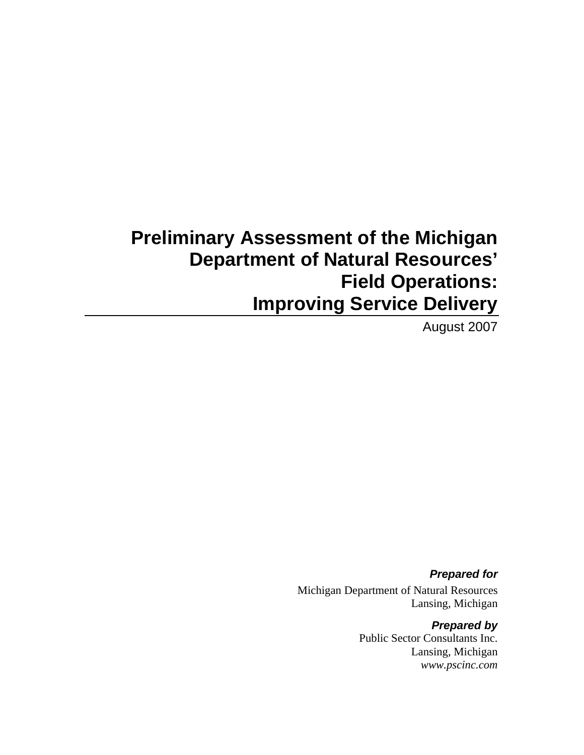# **Preliminary Assessment of the Michigan Department of Natural Resources' Field Operations: Improving Service Delivery**

August 2007

*Prepared for*  Michigan Department of Natural Resources Lansing, Michigan

> *Prepared by*  Public Sector Consultants Inc. Lansing, Michigan *www.pscinc.com*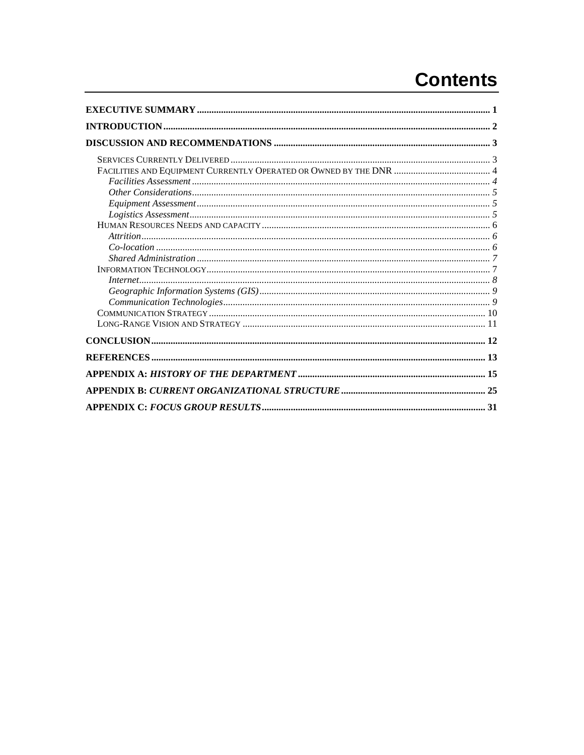# **Contents**

| 25 |  |
|----|--|
| 31 |  |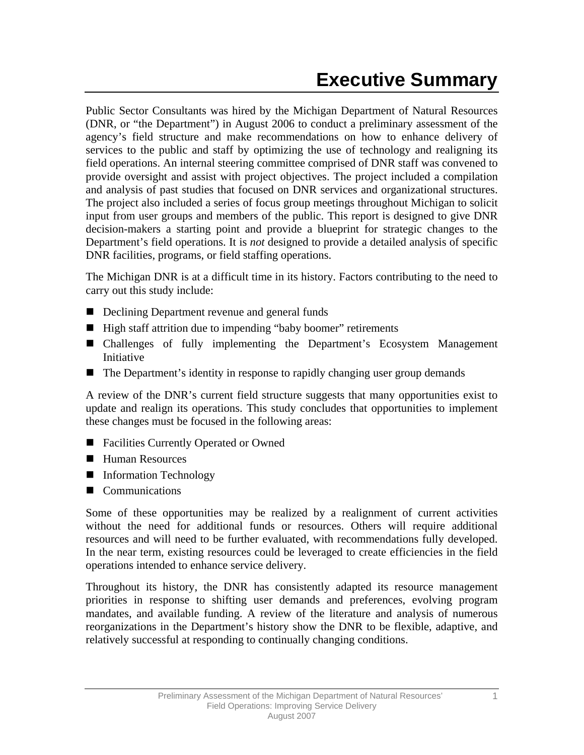Public Sector Consultants was hired by the Michigan Department of Natural Resources (DNR, or "the Department") in August 2006 to conduct a preliminary assessment of the agency's field structure and make recommendations on how to enhance delivery of services to the public and staff by optimizing the use of technology and realigning its field operations. An internal steering committee comprised of DNR staff was convened to provide oversight and assist with project objectives. The project included a compilation and analysis of past studies that focused on DNR services and organizational structures. The project also included a series of focus group meetings throughout Michigan to solicit input from user groups and members of the public. This report is designed to give DNR decision-makers a starting point and provide a blueprint for strategic changes to the Department's field operations. It is *not* designed to provide a detailed analysis of specific DNR facilities, programs, or field staffing operations.

The Michigan DNR is at a difficult time in its history. Factors contributing to the need to carry out this study include:

- Declining Department revenue and general funds
- High staff attrition due to impending "baby boomer" retirements
- Challenges of fully implementing the Department's Ecosystem Management Initiative
- The Department's identity in response to rapidly changing user group demands

A review of the DNR's current field structure suggests that many opportunities exist to update and realign its operations. This study concludes that opportunities to implement these changes must be focused in the following areas:

- Facilities Currently Operated or Owned
- Human Resources
- Information Technology
- **Communications**

Some of these opportunities may be realized by a realignment of current activities without the need for additional funds or resources. Others will require additional resources and will need to be further evaluated, with recommendations fully developed. In the near term, existing resources could be leveraged to create efficiencies in the field operations intended to enhance service delivery.

Throughout its history, the DNR has consistently adapted its resource management priorities in response to shifting user demands and preferences, evolving program mandates, and available funding. A review of the literature and analysis of numerous reorganizations in the Department's history show the DNR to be flexible, adaptive, and relatively successful at responding to continually changing conditions.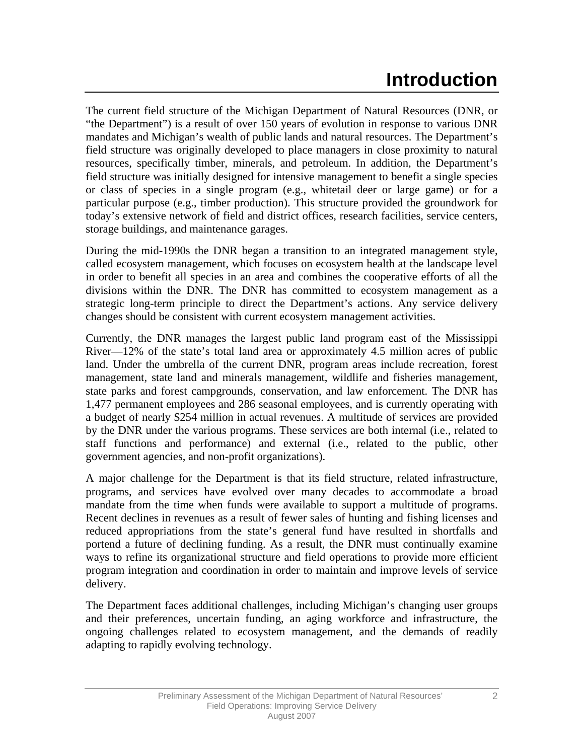# **Introduction**

The current field structure of the Michigan Department of Natural Resources (DNR, or "the Department") is a result of over 150 years of evolution in response to various DNR mandates and Michigan's wealth of public lands and natural resources. The Department's field structure was originally developed to place managers in close proximity to natural resources, specifically timber, minerals, and petroleum. In addition, the Department's field structure was initially designed for intensive management to benefit a single species or class of species in a single program (e.g., whitetail deer or large game) or for a particular purpose (e.g., timber production). This structure provided the groundwork for today's extensive network of field and district offices, research facilities, service centers, storage buildings, and maintenance garages.

During the mid-1990s the DNR began a transition to an integrated management style, called ecosystem management, which focuses on ecosystem health at the landscape level in order to benefit all species in an area and combines the cooperative efforts of all the divisions within the DNR. The DNR has committed to ecosystem management as a strategic long-term principle to direct the Department's actions. Any service delivery changes should be consistent with current ecosystem management activities.

Currently, the DNR manages the largest public land program east of the Mississippi River—12% of the state's total land area or approximately 4.5 million acres of public land. Under the umbrella of the current DNR, program areas include recreation, forest management, state land and minerals management, wildlife and fisheries management, state parks and forest campgrounds, conservation, and law enforcement. The DNR has 1,477 permanent employees and 286 seasonal employees, and is currently operating with a budget of nearly \$254 million in actual revenues. A multitude of services are provided by the DNR under the various programs. These services are both internal (i.e., related to staff functions and performance) and external (i.e., related to the public, other government agencies, and non-profit organizations).

A major challenge for the Department is that its field structure, related infrastructure, programs, and services have evolved over many decades to accommodate a broad mandate from the time when funds were available to support a multitude of programs. Recent declines in revenues as a result of fewer sales of hunting and fishing licenses and reduced appropriations from the state's general fund have resulted in shortfalls and portend a future of declining funding. As a result, the DNR must continually examine ways to refine its organizational structure and field operations to provide more efficient program integration and coordination in order to maintain and improve levels of service delivery.

The Department faces additional challenges, including Michigan's changing user groups and their preferences, uncertain funding, an aging workforce and infrastructure, the ongoing challenges related to ecosystem management, and the demands of readily adapting to rapidly evolving technology.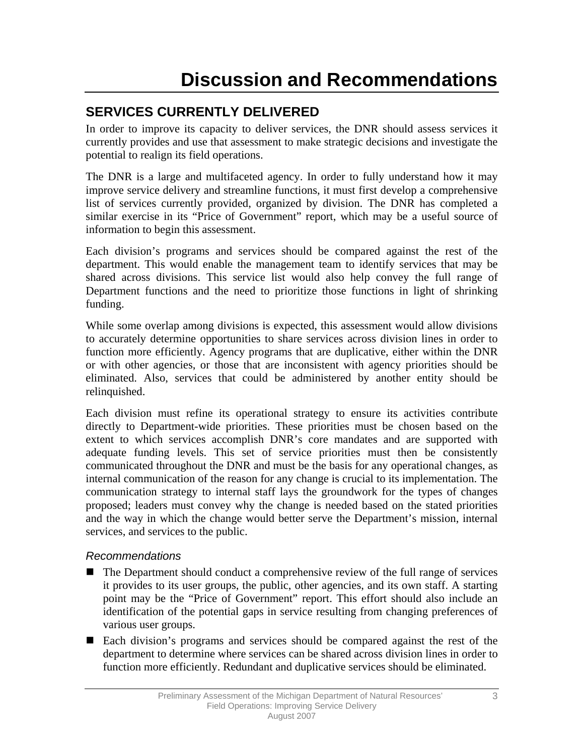# **SERVICES CURRENTLY DELIVERED**

In order to improve its capacity to deliver services, the DNR should assess services it currently provides and use that assessment to make strategic decisions and investigate the potential to realign its field operations.

The DNR is a large and multifaceted agency. In order to fully understand how it may improve service delivery and streamline functions, it must first develop a comprehensive list of services currently provided, organized by division. The DNR has completed a similar exercise in its "Price of Government" report, which may be a useful source of information to begin this assessment.

Each division's programs and services should be compared against the rest of the department. This would enable the management team to identify services that may be shared across divisions. This service list would also help convey the full range of Department functions and the need to prioritize those functions in light of shrinking funding.

While some overlap among divisions is expected, this assessment would allow divisions to accurately determine opportunities to share services across division lines in order to function more efficiently. Agency programs that are duplicative, either within the DNR or with other agencies, or those that are inconsistent with agency priorities should be eliminated. Also, services that could be administered by another entity should be relinquished.

Each division must refine its operational strategy to ensure its activities contribute directly to Department-wide priorities. These priorities must be chosen based on the extent to which services accomplish DNR's core mandates and are supported with adequate funding levels. This set of service priorities must then be consistently communicated throughout the DNR and must be the basis for any operational changes, as internal communication of the reason for any change is crucial to its implementation. The communication strategy to internal staff lays the groundwork for the types of changes proposed; leaders must convey why the change is needed based on the stated priorities and the way in which the change would better serve the Department's mission, internal services, and services to the public.

#### *Recommendations*

- The Department should conduct a comprehensive review of the full range of services it provides to its user groups, the public, other agencies, and its own staff. A starting point may be the "Price of Government" report. This effort should also include an identification of the potential gaps in service resulting from changing preferences of various user groups.
- Each division's programs and services should be compared against the rest of the department to determine where services can be shared across division lines in order to function more efficiently. Redundant and duplicative services should be eliminated.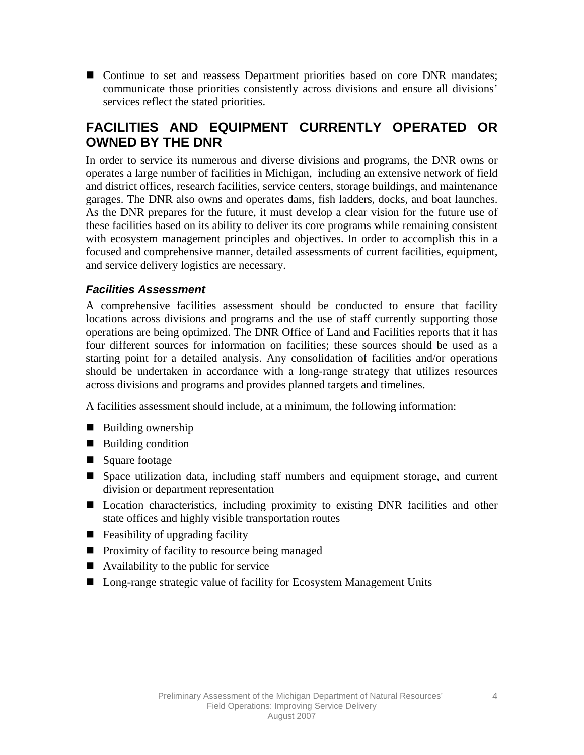■ Continue to set and reassess Department priorities based on core DNR mandates; communicate those priorities consistently across divisions and ensure all divisions' services reflect the stated priorities.

# **FACILITIES AND EQUIPMENT CURRENTLY OPERATED OR OWNED BY THE DNR**

In order to service its numerous and diverse divisions and programs, the DNR owns or operates a large number of facilities in Michigan, including an extensive network of field and district offices, research facilities, service centers, storage buildings, and maintenance garages. The DNR also owns and operates dams, fish ladders, docks, and boat launches. As the DNR prepares for the future, it must develop a clear vision for the future use of these facilities based on its ability to deliver its core programs while remaining consistent with ecosystem management principles and objectives. In order to accomplish this in a focused and comprehensive manner, detailed assessments of current facilities, equipment, and service delivery logistics are necessary.

#### *Facilities Assessment*

A comprehensive facilities assessment should be conducted to ensure that facility locations across divisions and programs and the use of staff currently supporting those operations are being optimized. The DNR Office of Land and Facilities reports that it has four different sources for information on facilities; these sources should be used as a starting point for a detailed analysis. Any consolidation of facilities and/or operations should be undertaken in accordance with a long-range strategy that utilizes resources across divisions and programs and provides planned targets and timelines.

A facilities assessment should include, at a minimum, the following information:

- Building ownership
- Building condition
- Square footage
- Space utilization data, including staff numbers and equipment storage, and current division or department representation
- Location characteristics, including proximity to existing DNR facilities and other state offices and highly visible transportation routes
- Feasibility of upgrading facility
- **Proximity of facility to resource being managed**
- Availability to the public for service
- Long-range strategic value of facility for Ecosystem Management Units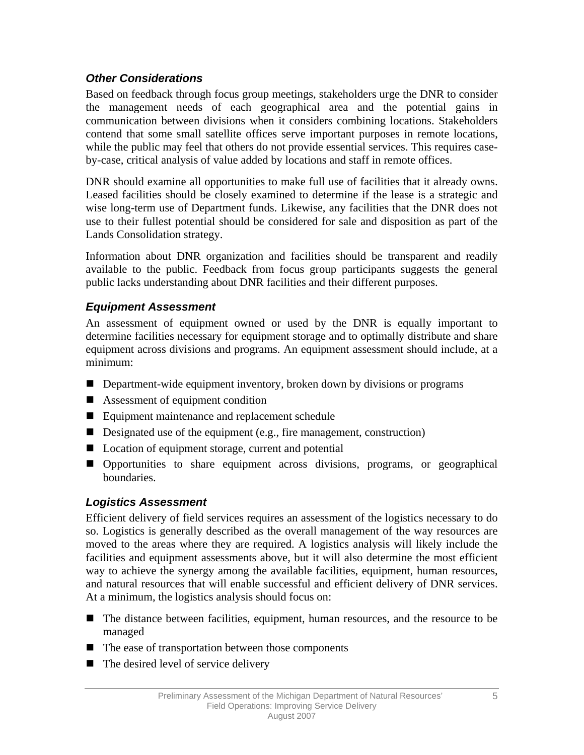# *Other Considerations*

Based on feedback through focus group meetings, stakeholders urge the DNR to consider the management needs of each geographical area and the potential gains in communication between divisions when it considers combining locations. Stakeholders contend that some small satellite offices serve important purposes in remote locations, while the public may feel that others do not provide essential services. This requires caseby-case, critical analysis of value added by locations and staff in remote offices.

DNR should examine all opportunities to make full use of facilities that it already owns. Leased facilities should be closely examined to determine if the lease is a strategic and wise long-term use of Department funds. Likewise, any facilities that the DNR does not use to their fullest potential should be considered for sale and disposition as part of the Lands Consolidation strategy.

Information about DNR organization and facilities should be transparent and readily available to the public. Feedback from focus group participants suggests the general public lacks understanding about DNR facilities and their different purposes.

### *Equipment Assessment*

An assessment of equipment owned or used by the DNR is equally important to determine facilities necessary for equipment storage and to optimally distribute and share equipment across divisions and programs. An equipment assessment should include, at a minimum:

- Department-wide equipment inventory, broken down by divisions or programs
- Assessment of equipment condition
- Equipment maintenance and replacement schedule
- Designated use of the equipment (e.g., fire management, construction)
- Location of equipment storage, current and potential
- Opportunities to share equipment across divisions, programs, or geographical boundaries.

# *Logistics Assessment*

Efficient delivery of field services requires an assessment of the logistics necessary to do so. Logistics is generally described as the overall management of the way resources are moved to the areas where they are required. A logistics analysis will likely include the facilities and equipment assessments above, but it will also determine the most efficient way to achieve the synergy among the available facilities, equipment, human resources, and natural resources that will enable successful and efficient delivery of DNR services. At a minimum, the logistics analysis should focus on:

- The distance between facilities, equipment, human resources, and the resource to be managed
- The ease of transportation between those components
- $\blacksquare$  The desired level of service delivery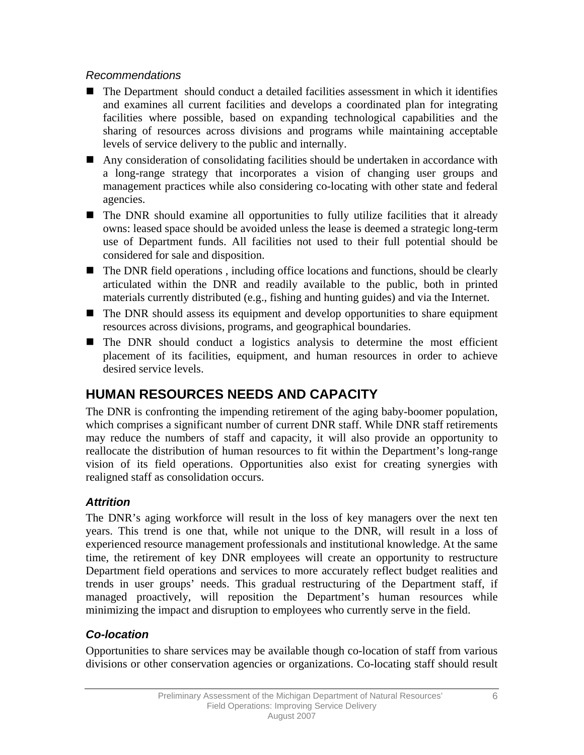#### *Recommendations*

- The Department should conduct a detailed facilities assessment in which it identifies and examines all current facilities and develops a coordinated plan for integrating facilities where possible, based on expanding technological capabilities and the sharing of resources across divisions and programs while maintaining acceptable levels of service delivery to the public and internally.
- Any consideration of consolidating facilities should be undertaken in accordance with a long-range strategy that incorporates a vision of changing user groups and management practices while also considering co-locating with other state and federal agencies.
- The DNR should examine all opportunities to fully utilize facilities that it already owns: leased space should be avoided unless the lease is deemed a strategic long-term use of Department funds. All facilities not used to their full potential should be considered for sale and disposition.
- The DNR field operations, including office locations and functions, should be clearly articulated within the DNR and readily available to the public, both in printed materials currently distributed (e.g., fishing and hunting guides) and via the Internet.
- The DNR should assess its equipment and develop opportunities to share equipment resources across divisions, programs, and geographical boundaries.
- The DNR should conduct a logistics analysis to determine the most efficient placement of its facilities, equipment, and human resources in order to achieve desired service levels.

# **HUMAN RESOURCES NEEDS AND CAPACITY**

The DNR is confronting the impending retirement of the aging baby-boomer population, which comprises a significant number of current DNR staff. While DNR staff retirements may reduce the numbers of staff and capacity, it will also provide an opportunity to reallocate the distribution of human resources to fit within the Department's long-range vision of its field operations. Opportunities also exist for creating synergies with realigned staff as consolidation occurs.

# *Attrition*

The DNR's aging workforce will result in the loss of key managers over the next ten years. This trend is one that, while not unique to the DNR, will result in a loss of experienced resource management professionals and institutional knowledge. At the same time, the retirement of key DNR employees will create an opportunity to restructure Department field operations and services to more accurately reflect budget realities and trends in user groups' needs. This gradual restructuring of the Department staff, if managed proactively, will reposition the Department's human resources while minimizing the impact and disruption to employees who currently serve in the field.

# *Co-location*

Opportunities to share services may be available though co-location of staff from various divisions or other conservation agencies or organizations. Co-locating staff should result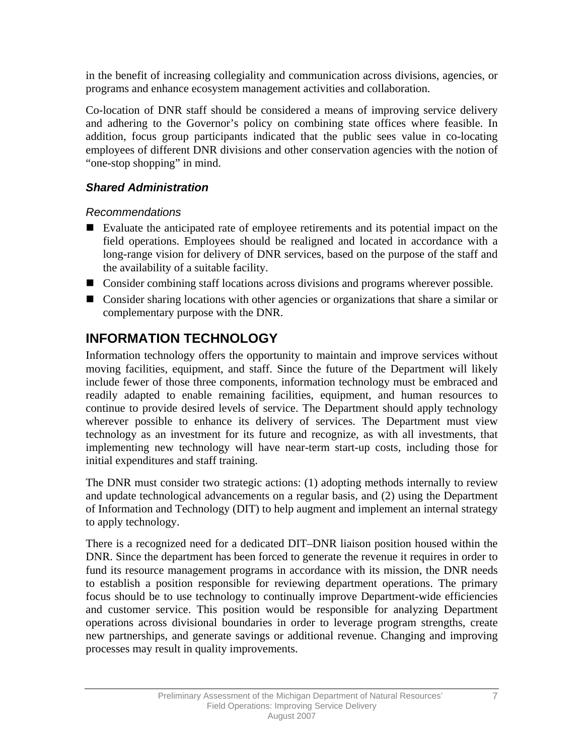in the benefit of increasing collegiality and communication across divisions, agencies, or programs and enhance ecosystem management activities and collaboration.

Co-location of DNR staff should be considered a means of improving service delivery and adhering to the Governor's policy on combining state offices where feasible. In addition, focus group participants indicated that the public sees value in co-locating employees of different DNR divisions and other conservation agencies with the notion of "one-stop shopping" in mind.

# *Shared Administration*

### *Recommendations*

- Evaluate the anticipated rate of employee retirements and its potential impact on the field operations. Employees should be realigned and located in accordance with a long-range vision for delivery of DNR services, based on the purpose of the staff and the availability of a suitable facility.
- Consider combining staff locations across divisions and programs wherever possible.
- Consider sharing locations with other agencies or organizations that share a similar or complementary purpose with the DNR.

# **INFORMATION TECHNOLOGY**

Information technology offers the opportunity to maintain and improve services without moving facilities, equipment, and staff. Since the future of the Department will likely include fewer of those three components, information technology must be embraced and readily adapted to enable remaining facilities, equipment, and human resources to continue to provide desired levels of service. The Department should apply technology wherever possible to enhance its delivery of services. The Department must view technology as an investment for its future and recognize, as with all investments, that implementing new technology will have near-term start-up costs, including those for initial expenditures and staff training.

The DNR must consider two strategic actions: (1) adopting methods internally to review and update technological advancements on a regular basis, and (2) using the Department of Information and Technology (DIT) to help augment and implement an internal strategy to apply technology.

There is a recognized need for a dedicated DIT–DNR liaison position housed within the DNR. Since the department has been forced to generate the revenue it requires in order to fund its resource management programs in accordance with its mission, the DNR needs to establish a position responsible for reviewing department operations. The primary focus should be to use technology to continually improve Department-wide efficiencies and customer service. This position would be responsible for analyzing Department operations across divisional boundaries in order to leverage program strengths, create new partnerships, and generate savings or additional revenue. Changing and improving processes may result in quality improvements.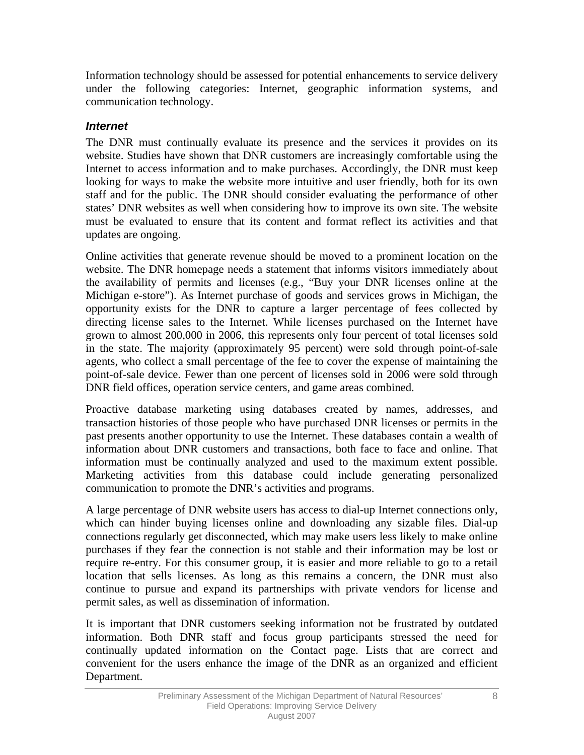Information technology should be assessed for potential enhancements to service delivery under the following categories: Internet, geographic information systems, and communication technology.

#### *Internet*

The DNR must continually evaluate its presence and the services it provides on its website. Studies have shown that DNR customers are increasingly comfortable using the Internet to access information and to make purchases. Accordingly, the DNR must keep looking for ways to make the website more intuitive and user friendly, both for its own staff and for the public. The DNR should consider evaluating the performance of other states' DNR websites as well when considering how to improve its own site. The website must be evaluated to ensure that its content and format reflect its activities and that updates are ongoing.

Online activities that generate revenue should be moved to a prominent location on the website. The DNR homepage needs a statement that informs visitors immediately about the availability of permits and licenses (e.g., "Buy your DNR licenses online at the Michigan e-store"). As Internet purchase of goods and services grows in Michigan, the opportunity exists for the DNR to capture a larger percentage of fees collected by directing license sales to the Internet. While licenses purchased on the Internet have grown to almost 200,000 in 2006, this represents only four percent of total licenses sold in the state. The majority (approximately 95 percent) were sold through point-of-sale agents, who collect a small percentage of the fee to cover the expense of maintaining the point-of-sale device. Fewer than one percent of licenses sold in 2006 were sold through DNR field offices, operation service centers, and game areas combined.

Proactive database marketing using databases created by names, addresses, and transaction histories of those people who have purchased DNR licenses or permits in the past presents another opportunity to use the Internet. These databases contain a wealth of information about DNR customers and transactions, both face to face and online. That information must be continually analyzed and used to the maximum extent possible. Marketing activities from this database could include generating personalized communication to promote the DNR's activities and programs.

A large percentage of DNR website users has access to dial-up Internet connections only, which can hinder buying licenses online and downloading any sizable files. Dial-up connections regularly get disconnected, which may make users less likely to make online purchases if they fear the connection is not stable and their information may be lost or require re-entry. For this consumer group, it is easier and more reliable to go to a retail location that sells licenses. As long as this remains a concern, the DNR must also continue to pursue and expand its partnerships with private vendors for license and permit sales, as well as dissemination of information.

It is important that DNR customers seeking information not be frustrated by outdated information. Both DNR staff and focus group participants stressed the need for continually updated information on the Contact page. Lists that are correct and convenient for the users enhance the image of the DNR as an organized and efficient Department.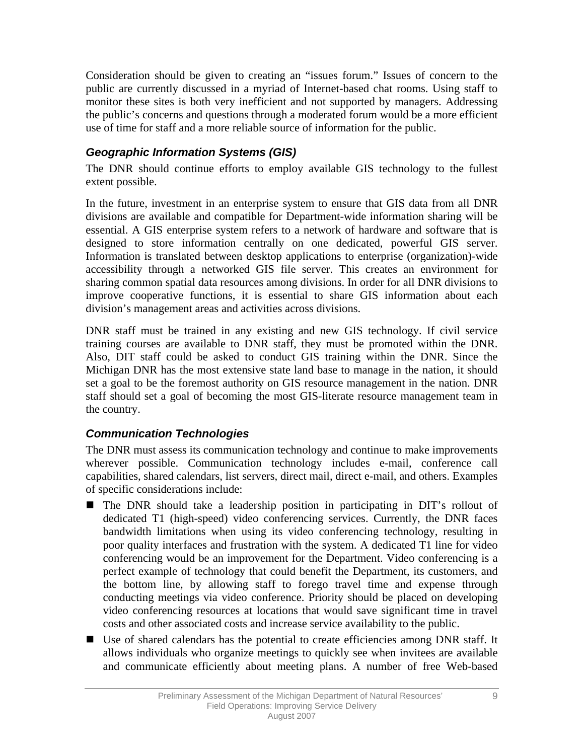Consideration should be given to creating an "issues forum." Issues of concern to the public are currently discussed in a myriad of Internet-based chat rooms. Using staff to monitor these sites is both very inefficient and not supported by managers. Addressing the public's concerns and questions through a moderated forum would be a more efficient use of time for staff and a more reliable source of information for the public.

# *Geographic Information Systems (GIS)*

The DNR should continue efforts to employ available GIS technology to the fullest extent possible.

In the future, investment in an enterprise system to ensure that GIS data from all DNR divisions are available and compatible for Department-wide information sharing will be essential. A GIS enterprise system refers to a network of hardware and software that is designed to store information centrally on one dedicated, powerful GIS server. Information is translated between desktop applications to enterprise (organization)-wide accessibility through a networked GIS file server. This creates an environment for sharing common spatial data resources among divisions. In order for all DNR divisions to improve cooperative functions, it is essential to share GIS information about each division's management areas and activities across divisions.

DNR staff must be trained in any existing and new GIS technology. If civil service training courses are available to DNR staff, they must be promoted within the DNR. Also, DIT staff could be asked to conduct GIS training within the DNR. Since the Michigan DNR has the most extensive state land base to manage in the nation, it should set a goal to be the foremost authority on GIS resource management in the nation. DNR staff should set a goal of becoming the most GIS-literate resource management team in the country.

# *Communication Technologies*

The DNR must assess its communication technology and continue to make improvements wherever possible. Communication technology includes e-mail, conference call capabilities, shared calendars, list servers, direct mail, direct e-mail, and others. Examples of specific considerations include:

- The DNR should take a leadership position in participating in DIT's rollout of dedicated T1 (high-speed) video conferencing services. Currently, the DNR faces bandwidth limitations when using its video conferencing technology, resulting in poor quality interfaces and frustration with the system. A dedicated T1 line for video conferencing would be an improvement for the Department. Video conferencing is a perfect example of technology that could benefit the Department, its customers, and the bottom line, by allowing staff to forego travel time and expense through conducting meetings via video conference. Priority should be placed on developing video conferencing resources at locations that would save significant time in travel costs and other associated costs and increase service availability to the public.
- Use of shared calendars has the potential to create efficiencies among DNR staff. It allows individuals who organize meetings to quickly see when invitees are available and communicate efficiently about meeting plans. A number of free Web-based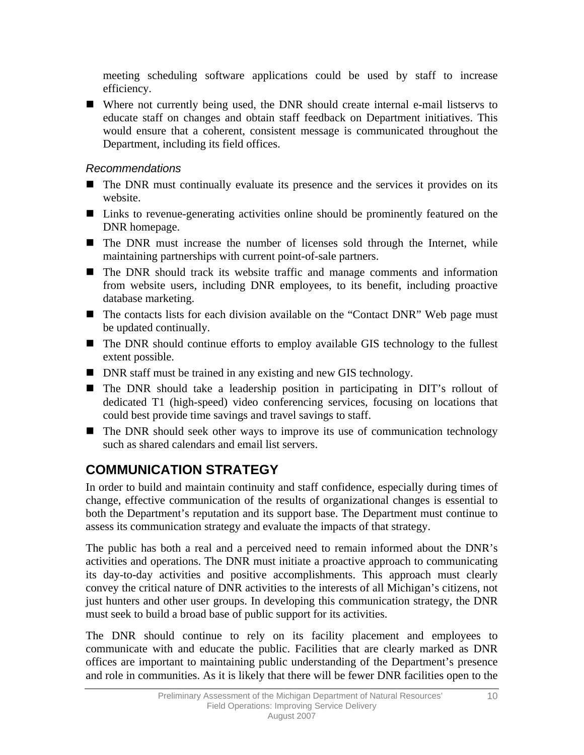meeting scheduling software applications could be used by staff to increase efficiency.

■ Where not currently being used, the DNR should create internal e-mail listservs to educate staff on changes and obtain staff feedback on Department initiatives. This would ensure that a coherent, consistent message is communicated throughout the Department, including its field offices.

### *Recommendations*

- The DNR must continually evaluate its presence and the services it provides on its website.
- Links to revenue-generating activities online should be prominently featured on the DNR homepage.
- The DNR must increase the number of licenses sold through the Internet, while maintaining partnerships with current point-of-sale partners.
- The DNR should track its website traffic and manage comments and information from website users, including DNR employees, to its benefit, including proactive database marketing.
- The contacts lists for each division available on the "Contact DNR" Web page must be updated continually.
- The DNR should continue efforts to employ available GIS technology to the fullest extent possible.
- DNR staff must be trained in any existing and new GIS technology.
- The DNR should take a leadership position in participating in DIT's rollout of dedicated T1 (high-speed) video conferencing services, focusing on locations that could best provide time savings and travel savings to staff.
- The DNR should seek other ways to improve its use of communication technology such as shared calendars and email list servers.

# **COMMUNICATION STRATEGY**

In order to build and maintain continuity and staff confidence, especially during times of change, effective communication of the results of organizational changes is essential to both the Department's reputation and its support base. The Department must continue to assess its communication strategy and evaluate the impacts of that strategy.

The public has both a real and a perceived need to remain informed about the DNR's activities and operations. The DNR must initiate a proactive approach to communicating its day-to-day activities and positive accomplishments. This approach must clearly convey the critical nature of DNR activities to the interests of all Michigan's citizens, not just hunters and other user groups. In developing this communication strategy, the DNR must seek to build a broad base of public support for its activities.

The DNR should continue to rely on its facility placement and employees to communicate with and educate the public. Facilities that are clearly marked as DNR offices are important to maintaining public understanding of the Department's presence and role in communities. As it is likely that there will be fewer DNR facilities open to the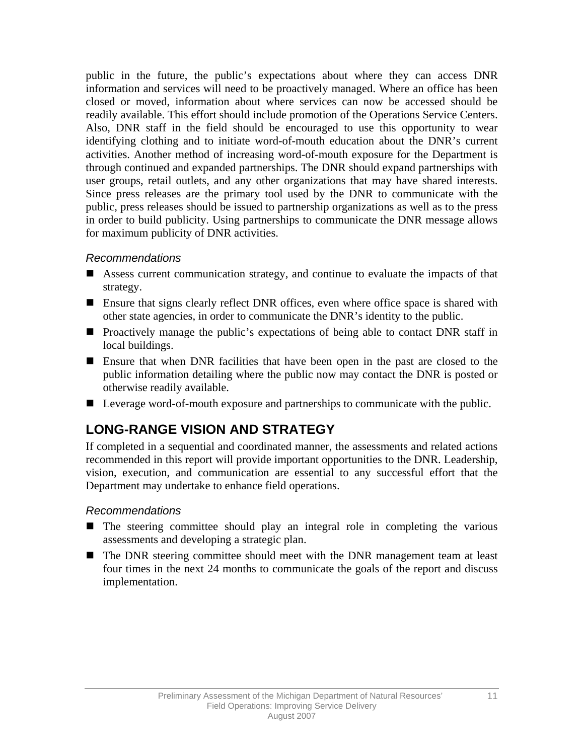public in the future, the public's expectations about where they can access DNR information and services will need to be proactively managed. Where an office has been closed or moved, information about where services can now be accessed should be readily available. This effort should include promotion of the Operations Service Centers. Also, DNR staff in the field should be encouraged to use this opportunity to wear identifying clothing and to initiate word-of-mouth education about the DNR's current activities. Another method of increasing word-of-mouth exposure for the Department is through continued and expanded partnerships. The DNR should expand partnerships with user groups, retail outlets, and any other organizations that may have shared interests. Since press releases are the primary tool used by the DNR to communicate with the public, press releases should be issued to partnership organizations as well as to the press in order to build publicity. Using partnerships to communicate the DNR message allows for maximum publicity of DNR activities.

#### *Recommendations*

- Assess current communication strategy, and continue to evaluate the impacts of that strategy.
- Ensure that signs clearly reflect DNR offices, even where office space is shared with other state agencies, in order to communicate the DNR's identity to the public.
- Proactively manage the public's expectations of being able to contact DNR staff in local buildings.
- Ensure that when DNR facilities that have been open in the past are closed to the public information detailing where the public now may contact the DNR is posted or otherwise readily available.
- Leverage word-of-mouth exposure and partnerships to communicate with the public.

# **LONG-RANGE VISION AND STRATEGY**

If completed in a sequential and coordinated manner, the assessments and related actions recommended in this report will provide important opportunities to the DNR. Leadership, vision, execution, and communication are essential to any successful effort that the Department may undertake to enhance field operations.

#### *Recommendations*

- The steering committee should play an integral role in completing the various assessments and developing a strategic plan.
- The DNR steering committee should meet with the DNR management team at least four times in the next 24 months to communicate the goals of the report and discuss implementation.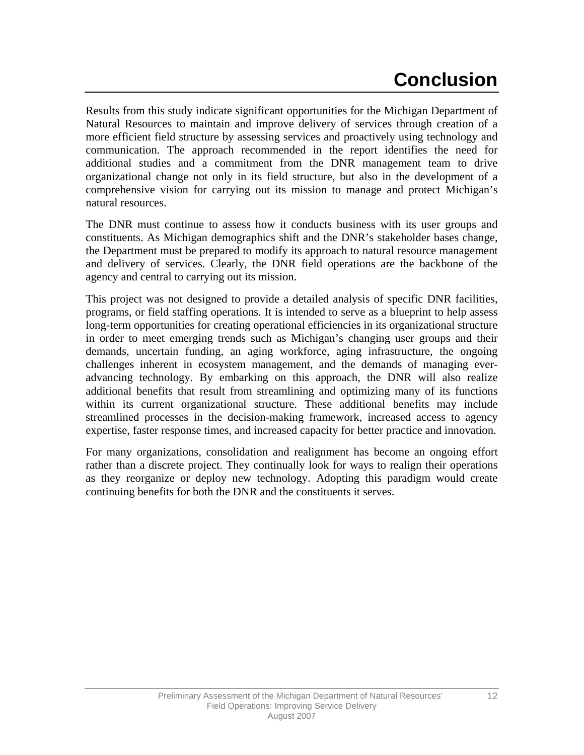# **Conclusion**

Results from this study indicate significant opportunities for the Michigan Department of Natural Resources to maintain and improve delivery of services through creation of a more efficient field structure by assessing services and proactively using technology and communication. The approach recommended in the report identifies the need for additional studies and a commitment from the DNR management team to drive organizational change not only in its field structure, but also in the development of a comprehensive vision for carrying out its mission to manage and protect Michigan's natural resources.

The DNR must continue to assess how it conducts business with its user groups and constituents. As Michigan demographics shift and the DNR's stakeholder bases change, the Department must be prepared to modify its approach to natural resource management and delivery of services. Clearly, the DNR field operations are the backbone of the agency and central to carrying out its mission.

This project was not designed to provide a detailed analysis of specific DNR facilities, programs, or field staffing operations. It is intended to serve as a blueprint to help assess long-term opportunities for creating operational efficiencies in its organizational structure in order to meet emerging trends such as Michigan's changing user groups and their demands, uncertain funding, an aging workforce, aging infrastructure, the ongoing challenges inherent in ecosystem management, and the demands of managing everadvancing technology. By embarking on this approach, the DNR will also realize additional benefits that result from streamlining and optimizing many of its functions within its current organizational structure. These additional benefits may include streamlined processes in the decision-making framework, increased access to agency expertise, faster response times, and increased capacity for better practice and innovation.

For many organizations, consolidation and realignment has become an ongoing effort rather than a discrete project. They continually look for ways to realign their operations as they reorganize or deploy new technology. Adopting this paradigm would create continuing benefits for both the DNR and the constituents it serves.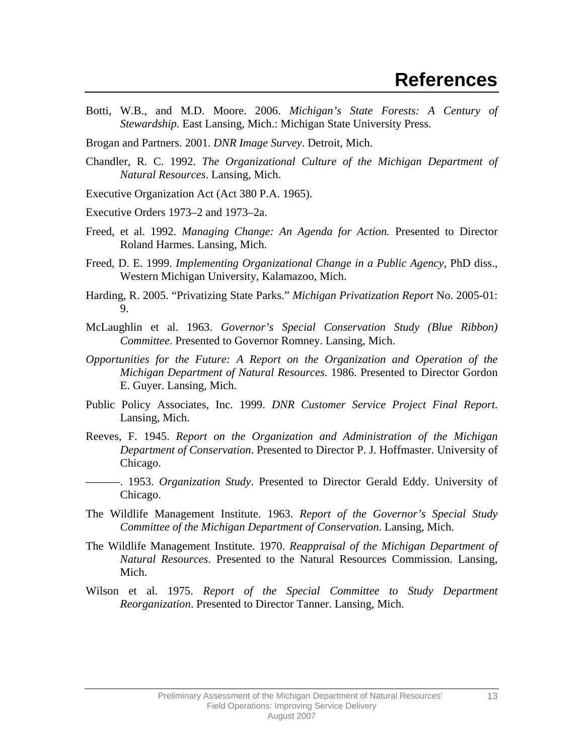Botti, W.B., and M.D. Moore. 2006. *Michigan's State Forests: A Century of Stewardship.* East Lansing, Mich.: Michigan State University Press.

Brogan and Partners. 2001. *DNR Image Survey*. Detroit, Mich.

- Chandler, R. C. 1992. *The Organizational Culture of the Michigan Department of Natural Resources*. Lansing, Mich.
- Executive Organization Act (Act 380 P.A. 1965).
- Executive Orders 1973–2 and 1973–2a.
- Freed, et al. 1992. *Managing Change: An Agenda for Action.* Presented to Director Roland Harmes. Lansing, Mich.
- Freed, D. E. 1999. *Implementing Organizational Change in a Public Agency,* PhD diss., Western Michigan University, Kalamazoo, Mich.
- Harding, R. 2005. "Privatizing State Parks." *Michigan Privatization Report* No. 2005-01: 9.
- McLaughlin et al. 1963. *Governor's Special Conservation Study (Blue Ribbon) Committee*. Presented to Governor Romney. Lansing, Mich.
- *Opportunities for the Future: A Report on the Organization and Operation of the Michigan Department of Natural Resources.* 1986. Presented to Director Gordon E. Guyer. Lansing, Mich.
- Public Policy Associates, Inc. 1999. *DNR Customer Service Project Final Report*. Lansing, Mich.
- Reeves, F. 1945. *Report on the Organization and Administration of the Michigan Department of Conservation*. Presented to Director P. J. Hoffmaster. University of Chicago.
- ———. 1953. *Organization Study*. Presented to Director Gerald Eddy. University of Chicago.
- The Wildlife Management Institute. 1963. *Report of the Governor's Special Study Committee of the Michigan Department of Conservation*. Lansing, Mich.
- The Wildlife Management Institute. 1970. *Reappraisal of the Michigan Department of Natural Resources*. Presented to the Natural Resources Commission. Lansing, Mich.
- Wilson et al. 1975. *Report of the Special Committee to Study Department Reorganization*. Presented to Director Tanner. Lansing, Mich.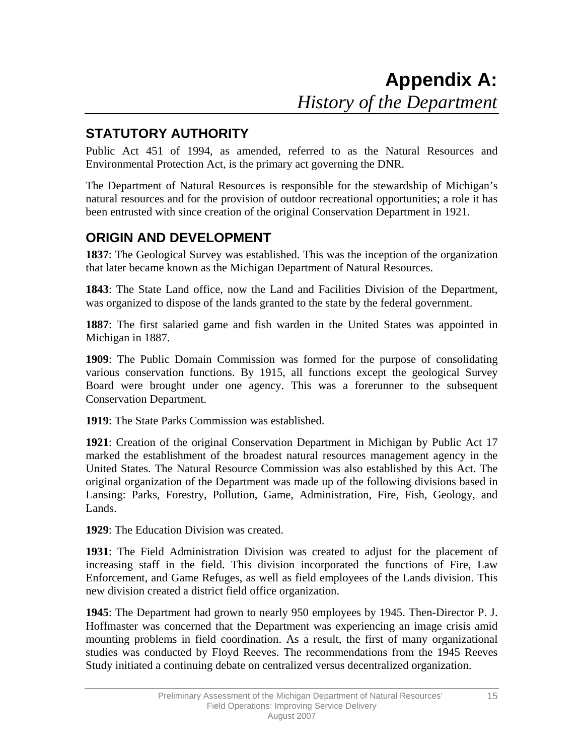# **STATUTORY AUTHORITY**

Public Act 451 of 1994, as amended, referred to as the Natural Resources and Environmental Protection Act, is the primary act governing the DNR.

The Department of Natural Resources is responsible for the stewardship of Michigan's natural resources and for the provision of outdoor recreational opportunities; a role it has been entrusted with since creation of the original Conservation Department in 1921.

# **ORIGIN AND DEVELOPMENT**

**1837**: The Geological Survey was established. This was the inception of the organization that later became known as the Michigan Department of Natural Resources.

**1843**: The State Land office, now the Land and Facilities Division of the Department, was organized to dispose of the lands granted to the state by the federal government.

**1887**: The first salaried game and fish warden in the United States was appointed in Michigan in 1887.

**1909**: The Public Domain Commission was formed for the purpose of consolidating various conservation functions. By 1915, all functions except the geological Survey Board were brought under one agency. This was a forerunner to the subsequent Conservation Department.

**1919**: The State Parks Commission was established.

**1921**: Creation of the original Conservation Department in Michigan by Public Act 17 marked the establishment of the broadest natural resources management agency in the United States. The Natural Resource Commission was also established by this Act. The original organization of the Department was made up of the following divisions based in Lansing: Parks, Forestry, Pollution, Game, Administration, Fire, Fish, Geology, and Lands.

**1929**: The Education Division was created.

**1931**: The Field Administration Division was created to adjust for the placement of increasing staff in the field. This division incorporated the functions of Fire, Law Enforcement, and Game Refuges, as well as field employees of the Lands division. This new division created a district field office organization.

**1945**: The Department had grown to nearly 950 employees by 1945. Then-Director P. J. Hoffmaster was concerned that the Department was experiencing an image crisis amid mounting problems in field coordination. As a result, the first of many organizational studies was conducted by Floyd Reeves. The recommendations from the 1945 Reeves Study initiated a continuing debate on centralized versus decentralized organization.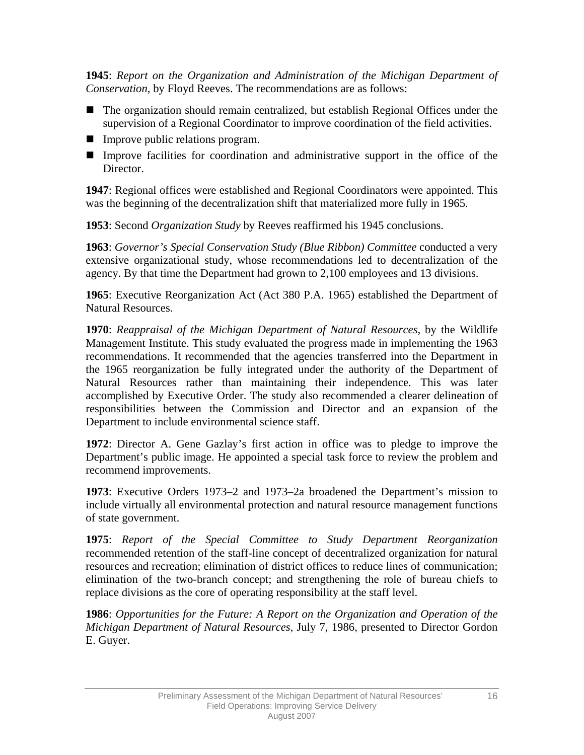**1945**: *Report on the Organization and Administration of the Michigan Department of Conservation,* by Floyd Reeves. The recommendations are as follows:

- The organization should remain centralized, but establish Regional Offices under the supervision of a Regional Coordinator to improve coordination of the field activities.
- Improve public relations program.
- Improve facilities for coordination and administrative support in the office of the Director.

**1947**: Regional offices were established and Regional Coordinators were appointed. This was the beginning of the decentralization shift that materialized more fully in 1965.

**1953**: Second *Organization Study* by Reeves reaffirmed his 1945 conclusions.

**1963**: *Governor's Special Conservation Study (Blue Ribbon) Committee* conducted a very extensive organizational study, whose recommendations led to decentralization of the agency. By that time the Department had grown to 2,100 employees and 13 divisions.

**1965**: Executive Reorganization Act (Act 380 P.A. 1965) established the Department of Natural Resources.

**1970**: *Reappraisal of the Michigan Department of Natural Resources,* by the Wildlife Management Institute. This study evaluated the progress made in implementing the 1963 recommendations. It recommended that the agencies transferred into the Department in the 1965 reorganization be fully integrated under the authority of the Department of Natural Resources rather than maintaining their independence. This was later accomplished by Executive Order. The study also recommended a clearer delineation of responsibilities between the Commission and Director and an expansion of the Department to include environmental science staff.

**1972**: Director A. Gene Gazlay's first action in office was to pledge to improve the Department's public image. He appointed a special task force to review the problem and recommend improvements.

**1973**: Executive Orders 1973–2 and 1973–2a broadened the Department's mission to include virtually all environmental protection and natural resource management functions of state government.

**1975**: *Report of the Special Committee to Study Department Reorganization* recommended retention of the staff-line concept of decentralized organization for natural resources and recreation; elimination of district offices to reduce lines of communication; elimination of the two-branch concept; and strengthening the role of bureau chiefs to replace divisions as the core of operating responsibility at the staff level.

**1986**: *Opportunities for the Future: A Report on the Organization and Operation of the Michigan Department of Natural Resources,* July 7, 1986, presented to Director Gordon E. Guyer.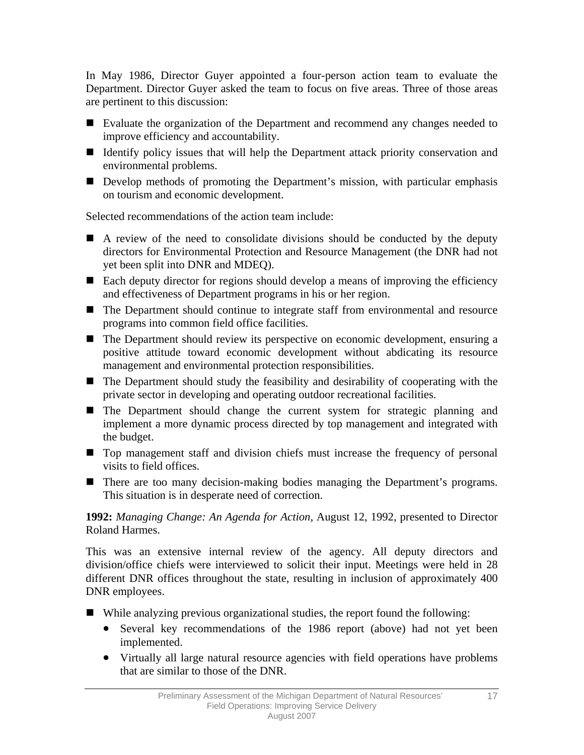In May 1986, Director Guyer appointed a four-person action team to evaluate the Department. Director Guyer asked the team to focus on five areas. Three of those areas are pertinent to this discussion:

- Evaluate the organization of the Department and recommend any changes needed to improve efficiency and accountability.
- If Identify policy issues that will help the Department attack priority conservation and environmental problems.
- Develop methods of promoting the Department's mission, with particular emphasis on tourism and economic development.

Selected recommendations of the action team include:

- A review of the need to consolidate divisions should be conducted by the deputy directors for Environmental Protection and Resource Management (the DNR had not yet been split into DNR and MDEQ).
- $\blacksquare$  Each deputy director for regions should develop a means of improving the efficiency and effectiveness of Department programs in his or her region.
- The Department should continue to integrate staff from environmental and resource programs into common field office facilities.
- The Department should review its perspective on economic development, ensuring a positive attitude toward economic development without abdicating its resource management and environmental protection responsibilities.
- The Department should study the feasibility and desirability of cooperating with the private sector in developing and operating outdoor recreational facilities.
- The Department should change the current system for strategic planning and implement a more dynamic process directed by top management and integrated with the budget.
- Top management staff and division chiefs must increase the frequency of personal visits to field offices.
- There are too many decision-making bodies managing the Department's programs. This situation is in desperate need of correction.

**1992:** *Managing Change: An Agenda for Action,* August 12, 1992, presented to Director Roland Harmes.

This was an extensive internal review of the agency. All deputy directors and division/office chiefs were interviewed to solicit their input. Meetings were held in 28 different DNR offices throughout the state, resulting in inclusion of approximately 400 DNR employees.

- While analyzing previous organizational studies, the report found the following:
	- Several key recommendations of the 1986 report (above) had not yet been implemented.
	- Virtually all large natural resource agencies with field operations have problems that are similar to those of the DNR.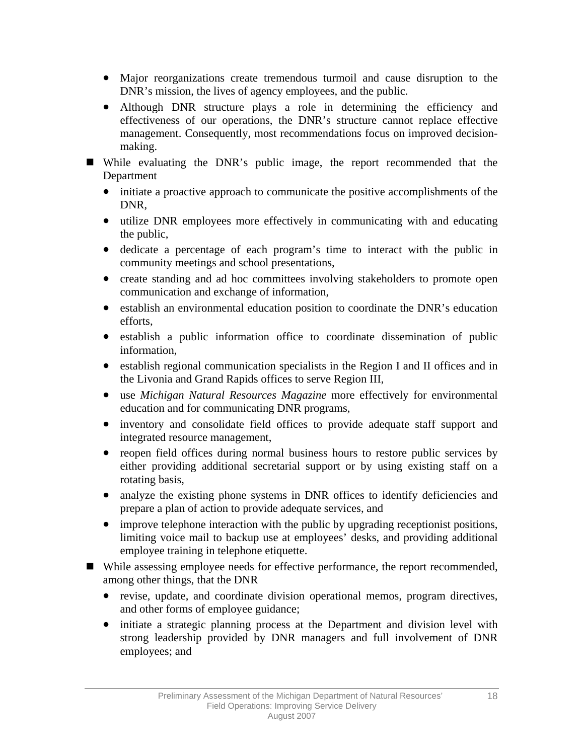- Major reorganizations create tremendous turmoil and cause disruption to the DNR's mission, the lives of agency employees, and the public.
- Although DNR structure plays a role in determining the efficiency and effectiveness of our operations, the DNR's structure cannot replace effective management. Consequently, most recommendations focus on improved decisionmaking.
- While evaluating the DNR's public image, the report recommended that the Department
	- initiate a proactive approach to communicate the positive accomplishments of the DNR,
	- utilize DNR employees more effectively in communicating with and educating the public,
	- dedicate a percentage of each program's time to interact with the public in community meetings and school presentations,
	- create standing and ad hoc committees involving stakeholders to promote open communication and exchange of information,
	- establish an environmental education position to coordinate the DNR's education efforts,
	- establish a public information office to coordinate dissemination of public information,
	- establish regional communication specialists in the Region I and II offices and in the Livonia and Grand Rapids offices to serve Region III,
	- use *Michigan Natural Resources Magazine* more effectively for environmental education and for communicating DNR programs,
	- inventory and consolidate field offices to provide adequate staff support and integrated resource management,
	- reopen field offices during normal business hours to restore public services by either providing additional secretarial support or by using existing staff on a rotating basis,
	- analyze the existing phone systems in DNR offices to identify deficiencies and prepare a plan of action to provide adequate services, and
	- improve telephone interaction with the public by upgrading receptionist positions, limiting voice mail to backup use at employees' desks, and providing additional employee training in telephone etiquette.
- While assessing employee needs for effective performance, the report recommended, among other things, that the DNR
	- revise, update, and coordinate division operational memos, program directives, and other forms of employee guidance;
	- initiate a strategic planning process at the Department and division level with strong leadership provided by DNR managers and full involvement of DNR employees; and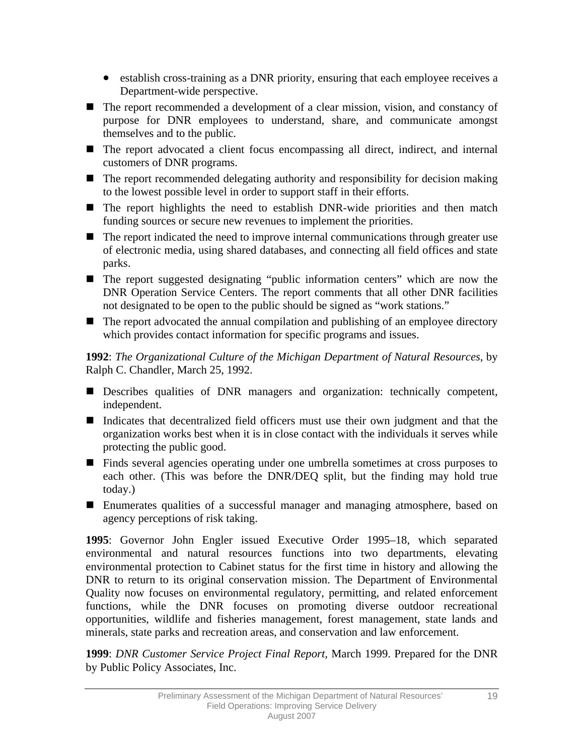- establish cross-training as a DNR priority, ensuring that each employee receives a Department-wide perspective.
- The report recommended a development of a clear mission, vision, and constancy of purpose for DNR employees to understand, share, and communicate amongst themselves and to the public.
- The report advocated a client focus encompassing all direct, indirect, and internal customers of DNR programs.
- The report recommended delegating authority and responsibility for decision making to the lowest possible level in order to support staff in their efforts.
- The report highlights the need to establish DNR-wide priorities and then match funding sources or secure new revenues to implement the priorities.
- The report indicated the need to improve internal communications through greater use of electronic media, using shared databases, and connecting all field offices and state parks.
- The report suggested designating "public information centers" which are now the DNR Operation Service Centers. The report comments that all other DNR facilities not designated to be open to the public should be signed as "work stations."
- The report advocated the annual compilation and publishing of an employee directory which provides contact information for specific programs and issues.

**1992**: *The Organizational Culture of the Michigan Department of Natural Resources*, by Ralph C. Chandler, March 25, 1992.

- Describes qualities of DNR managers and organization: technically competent, independent.
- Indicates that decentralized field officers must use their own judgment and that the organization works best when it is in close contact with the individuals it serves while protecting the public good.
- Finds several agencies operating under one umbrella sometimes at cross purposes to each other. (This was before the DNR/DEQ split, but the finding may hold true today.)
- Enumerates qualities of a successful manager and managing atmosphere, based on agency perceptions of risk taking.

**1995**: Governor John Engler issued Executive Order 1995–18, which separated environmental and natural resources functions into two departments, elevating environmental protection to Cabinet status for the first time in history and allowing the DNR to return to its original conservation mission. The Department of Environmental Quality now focuses on environmental regulatory, permitting, and related enforcement functions, while the DNR focuses on promoting diverse outdoor recreational opportunities, wildlife and fisheries management, forest management, state lands and minerals, state parks and recreation areas, and conservation and law enforcement.

**1999**: *DNR Customer Service Project Final Report,* March 1999. Prepared for the DNR by Public Policy Associates, Inc.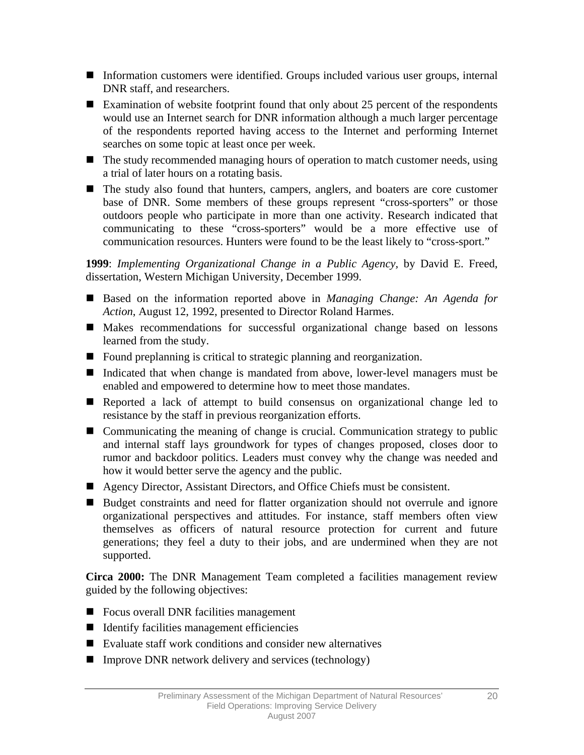- Information customers were identified. Groups included various user groups, internal DNR staff, and researchers.
- Examination of website footprint found that only about 25 percent of the respondents would use an Internet search for DNR information although a much larger percentage of the respondents reported having access to the Internet and performing Internet searches on some topic at least once per week.
- The study recommended managing hours of operation to match customer needs, using a trial of later hours on a rotating basis.
- The study also found that hunters, campers, anglers, and boaters are core customer base of DNR. Some members of these groups represent "cross-sporters" or those outdoors people who participate in more than one activity. Research indicated that communicating to these "cross-sporters" would be a more effective use of communication resources. Hunters were found to be the least likely to "cross-sport."

**1999**: *Implementing Organizational Change in a Public Agency,* by David E. Freed, dissertation, Western Michigan University, December 1999.

- Based on the information reported above in *Managing Change: An Agenda for Action*, August 12, 1992, presented to Director Roland Harmes.
- Makes recommendations for successful organizational change based on lessons learned from the study.
- Found preplanning is critical to strategic planning and reorganization.
- Indicated that when change is mandated from above, lower-level managers must be enabled and empowered to determine how to meet those mandates.
- Reported a lack of attempt to build consensus on organizational change led to resistance by the staff in previous reorganization efforts.
- Communicating the meaning of change is crucial. Communication strategy to public and internal staff lays groundwork for types of changes proposed, closes door to rumor and backdoor politics. Leaders must convey why the change was needed and how it would better serve the agency and the public.
- Agency Director, Assistant Directors, and Office Chiefs must be consistent.
- Budget constraints and need for flatter organization should not overrule and ignore organizational perspectives and attitudes. For instance, staff members often view themselves as officers of natural resource protection for current and future generations; they feel a duty to their jobs, and are undermined when they are not supported.

**Circa 2000:** The DNR Management Team completed a facilities management review guided by the following objectives:

- Focus overall DNR facilities management
- $\blacksquare$  Identify facilities management efficiencies
- Evaluate staff work conditions and consider new alternatives
- $\blacksquare$  Improve DNR network delivery and services (technology)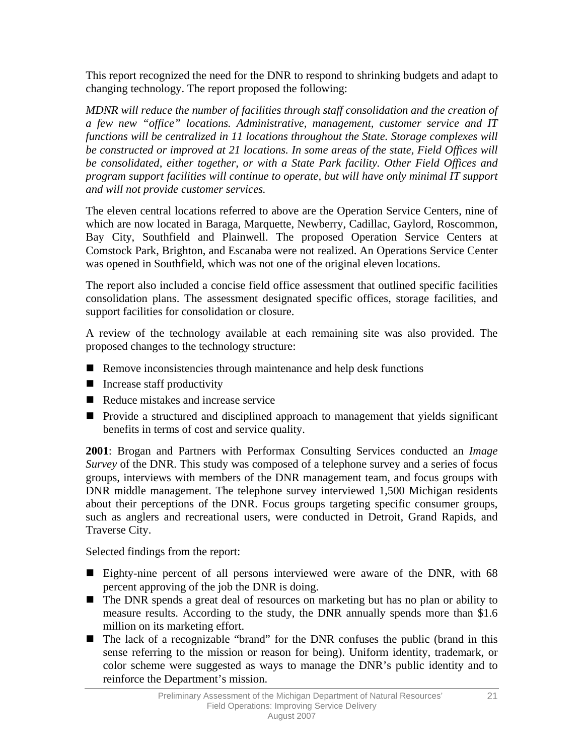This report recognized the need for the DNR to respond to shrinking budgets and adapt to changing technology. The report proposed the following:

*MDNR will reduce the number of facilities through staff consolidation and the creation of a few new "office" locations. Administrative, management, customer service and IT functions will be centralized in 11 locations throughout the State. Storage complexes will*  be constructed or improved at 21 locations. In some areas of the state, Field Offices will *be consolidated, either together, or with a State Park facility. Other Field Offices and program support facilities will continue to operate, but will have only minimal IT support and will not provide customer services.* 

The eleven central locations referred to above are the Operation Service Centers, nine of which are now located in Baraga, Marquette, Newberry, Cadillac, Gaylord, Roscommon, Bay City, Southfield and Plainwell. The proposed Operation Service Centers at Comstock Park, Brighton, and Escanaba were not realized. An Operations Service Center was opened in Southfield, which was not one of the original eleven locations.

The report also included a concise field office assessment that outlined specific facilities consolidation plans. The assessment designated specific offices, storage facilities, and support facilities for consolidation or closure.

A review of the technology available at each remaining site was also provided. The proposed changes to the technology structure:

- Remove inconsistencies through maintenance and help desk functions
- $\blacksquare$  Increase staff productivity
- Reduce mistakes and increase service
- Provide a structured and disciplined approach to management that yields significant benefits in terms of cost and service quality.

**2001**: Brogan and Partners with Performax Consulting Services conducted an *Image Survey* of the DNR. This study was composed of a telephone survey and a series of focus groups, interviews with members of the DNR management team, and focus groups with DNR middle management. The telephone survey interviewed 1,500 Michigan residents about their perceptions of the DNR. Focus groups targeting specific consumer groups, such as anglers and recreational users, were conducted in Detroit, Grand Rapids, and Traverse City.

Selected findings from the report:

- Eighty-nine percent of all persons interviewed were aware of the DNR, with  $68$ percent approving of the job the DNR is doing.
- The DNR spends a great deal of resources on marketing but has no plan or ability to measure results. According to the study, the DNR annually spends more than \$1.6 million on its marketing effort.
- The lack of a recognizable "brand" for the DNR confuses the public (brand in this sense referring to the mission or reason for being). Uniform identity, trademark, or color scheme were suggested as ways to manage the DNR's public identity and to reinforce the Department's mission.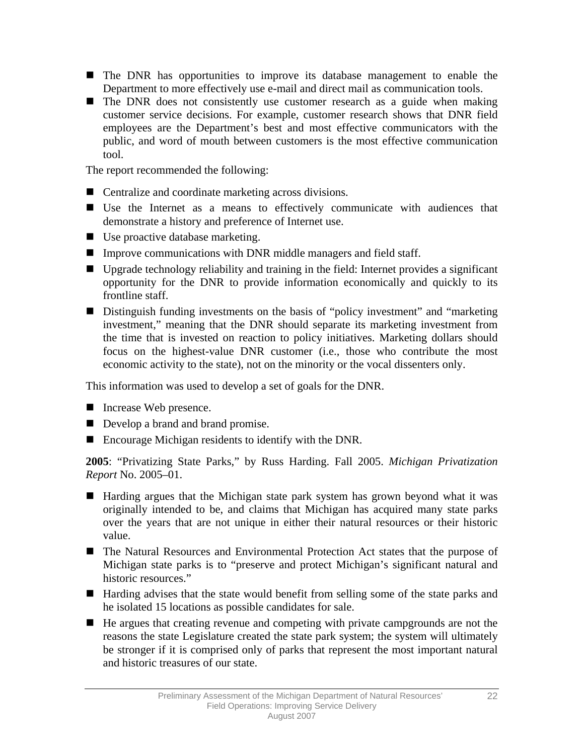- The DNR has opportunities to improve its database management to enable the Department to more effectively use e-mail and direct mail as communication tools.
- The DNR does not consistently use customer research as a guide when making customer service decisions. For example, customer research shows that DNR field employees are the Department's best and most effective communicators with the public, and word of mouth between customers is the most effective communication tool.

The report recommended the following:

- Centralize and coordinate marketing across divisions.
- Use the Internet as a means to effectively communicate with audiences that demonstrate a history and preference of Internet use.
- Use proactive database marketing.
- Improve communications with DNR middle managers and field staff.
- Upgrade technology reliability and training in the field: Internet provides a significant opportunity for the DNR to provide information economically and quickly to its frontline staff.
- Distinguish funding investments on the basis of "policy investment" and "marketing investment," meaning that the DNR should separate its marketing investment from the time that is invested on reaction to policy initiatives. Marketing dollars should focus on the highest-value DNR customer (i.e., those who contribute the most economic activity to the state), not on the minority or the vocal dissenters only.

This information was used to develop a set of goals for the DNR.

- Increase Web presence.
- Develop a brand and brand promise.
- Encourage Michigan residents to identify with the DNR.

**2005**: "Privatizing State Parks," by Russ Harding. Fall 2005. *Michigan Privatization Report* No. 2005–01.

- Harding argues that the Michigan state park system has grown beyond what it was originally intended to be, and claims that Michigan has acquired many state parks over the years that are not unique in either their natural resources or their historic value.
- The Natural Resources and Environmental Protection Act states that the purpose of Michigan state parks is to "preserve and protect Michigan's significant natural and historic resources."
- Harding advises that the state would benefit from selling some of the state parks and he isolated 15 locations as possible candidates for sale.
- He argues that creating revenue and competing with private campgrounds are not the reasons the state Legislature created the state park system; the system will ultimately be stronger if it is comprised only of parks that represent the most important natural and historic treasures of our state.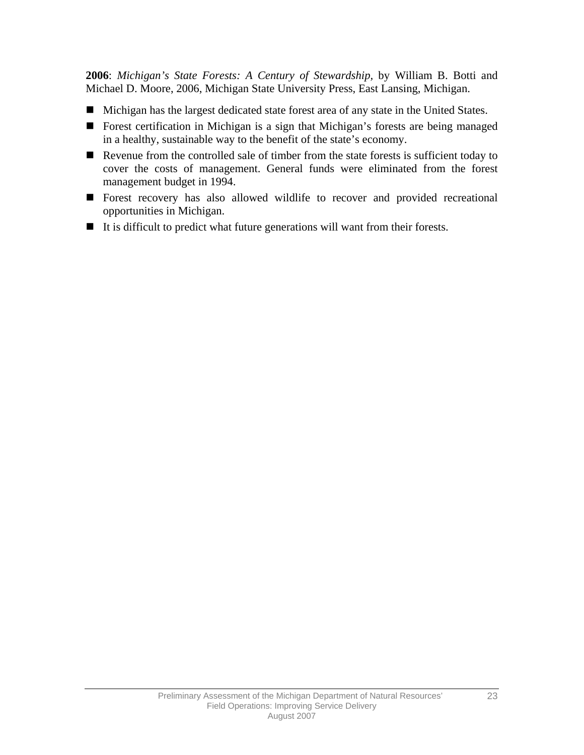**2006**: *Michigan's State Forests: A Century of Stewardship,* by William B. Botti and Michael D. Moore, 2006, Michigan State University Press, East Lansing, Michigan.

- Michigan has the largest dedicated state forest area of any state in the United States.
- Forest certification in Michigan is a sign that Michigan's forests are being managed in a healthy, sustainable way to the benefit of the state's economy.
- Revenue from the controlled sale of timber from the state forests is sufficient today to cover the costs of management. General funds were eliminated from the forest management budget in 1994.
- **Forest recovery has also allowed wildlife to recover and provided recreational** opportunities in Michigan.
- It is difficult to predict what future generations will want from their forests.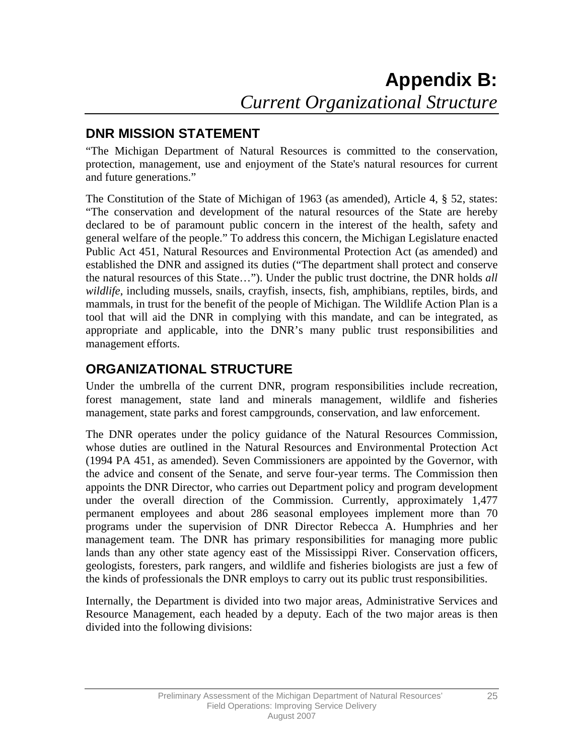# **DNR MISSION STATEMENT**

"The Michigan Department of Natural Resources is committed to the conservation, protection, management, use and enjoyment of the State's natural resources for current and future generations."

The Constitution of the State of Michigan of 1963 (as amended), Article 4, § 52, states: "The conservation and development of the natural resources of the State are hereby declared to be of paramount public concern in the interest of the health, safety and general welfare of the people." To address this concern, the Michigan Legislature enacted Public Act 451, Natural Resources and Environmental Protection Act (as amended) and established the DNR and assigned its duties ("The department shall protect and conserve the natural resources of this State…"). Under the public trust doctrine, the DNR holds *all wildlife*, including mussels, snails, crayfish, insects, fish, amphibians, reptiles, birds, and mammals, in trust for the benefit of the people of Michigan. The Wildlife Action Plan is a tool that will aid the DNR in complying with this mandate, and can be integrated, as appropriate and applicable, into the DNR's many public trust responsibilities and management efforts.

# **ORGANIZATIONAL STRUCTURE**

Under the umbrella of the current DNR, program responsibilities include recreation, forest management, state land and minerals management, wildlife and fisheries management, state parks and forest campgrounds, conservation, and law enforcement.

The DNR operates under the policy guidance of the Natural Resources Commission, whose duties are outlined in the Natural Resources and Environmental Protection Act (1994 PA 451, as amended). Seven Commissioners are appointed by the Governor, with the advice and consent of the Senate, and serve four-year terms. The Commission then appoints the DNR Director, who carries out Department policy and program development under the overall direction of the Commission. Currently, approximately 1,477 permanent employees and about 286 seasonal employees implement more than 70 programs under the supervision of DNR Director Rebecca A. Humphries and her management team. The DNR has primary responsibilities for managing more public lands than any other state agency east of the Mississippi River. Conservation officers, geologists, foresters, park rangers, and wildlife and fisheries biologists are just a few of the kinds of professionals the DNR employs to carry out its public trust responsibilities.

Internally, the Department is divided into two major areas, Administrative Services and Resource Management, each headed by a deputy. Each of the two major areas is then divided into the following divisions: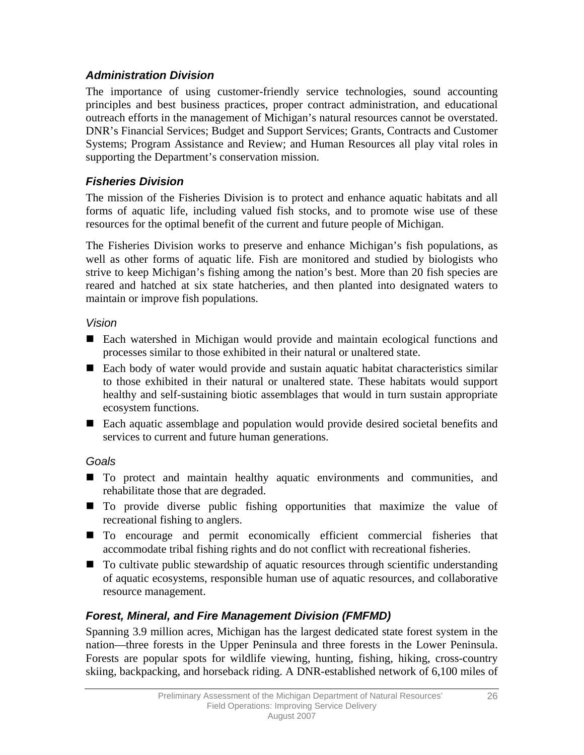# *Administration Division*

The importance of using customer-friendly service technologies, sound accounting principles and best business practices, proper contract administration, and educational outreach efforts in the management of Michigan's natural resources cannot be overstated. DNR's Financial Services; Budget and Support Services; Grants, Contracts and Customer Systems; Program Assistance and Review; and Human Resources all play vital roles in supporting the Department's conservation mission.

# *Fisheries Division*

The mission of the Fisheries Division is to protect and enhance aquatic habitats and all forms of aquatic life, including valued fish stocks, and to promote wise use of these resources for the optimal benefit of the current and future people of Michigan.

The Fisheries Division works to preserve and enhance Michigan's fish populations, as well as other forms of aquatic life. Fish are monitored and studied by biologists who strive to keep Michigan's fishing among the nation's best. More than 20 fish species are reared and hatched at six state hatcheries, and then planted into designated waters to maintain or improve fish populations.

### *Vision*

- Each watershed in Michigan would provide and maintain ecological functions and processes similar to those exhibited in their natural or unaltered state.
- Each body of water would provide and sustain aquatic habitat characteristics similar to those exhibited in their natural or unaltered state. These habitats would support healthy and self-sustaining biotic assemblages that would in turn sustain appropriate ecosystem functions.
- Each aquatic assemblage and population would provide desired societal benefits and services to current and future human generations.

# *Goals*

- To protect and maintain healthy aquatic environments and communities, and rehabilitate those that are degraded.
- To provide diverse public fishing opportunities that maximize the value of recreational fishing to anglers.
- To encourage and permit economically efficient commercial fisheries that accommodate tribal fishing rights and do not conflict with recreational fisheries.
- To cultivate public stewardship of aquatic resources through scientific understanding of aquatic ecosystems, responsible human use of aquatic resources, and collaborative resource management.

# *Forest, Mineral, and Fire Management Division (FMFMD)*

Spanning 3.9 million acres, Michigan has the largest dedicated state forest system in the nation—three forests in the Upper Peninsula and three forests in the Lower Peninsula. Forests are popular spots for wildlife viewing, hunting, fishing, hiking, cross-country skiing, backpacking, and horseback riding. A DNR-established network of 6,100 miles of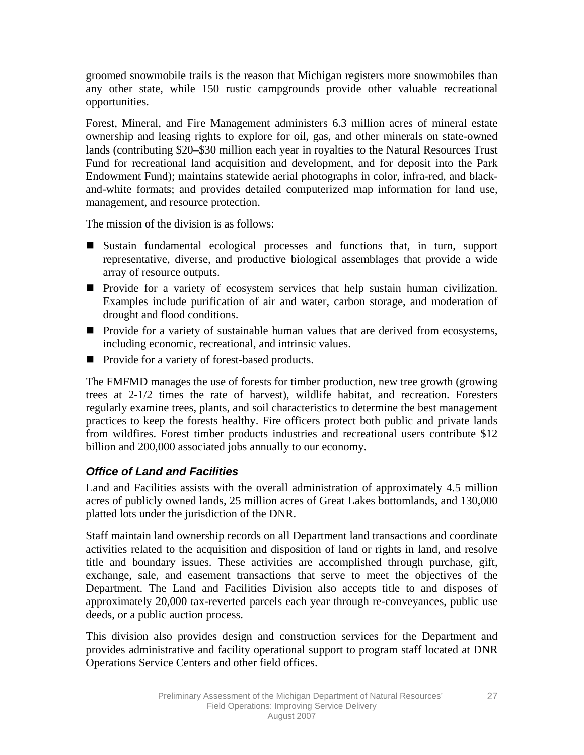groomed snowmobile trails is the reason that Michigan registers more snowmobiles than any other state, while 150 rustic campgrounds provide other valuable recreational opportunities.

Forest, Mineral, and Fire Management administers 6.3 million acres of mineral estate ownership and leasing rights to explore for oil, gas, and other minerals on state-owned lands (contributing \$20–\$30 million each year in royalties to the Natural Resources Trust Fund for recreational land acquisition and development, and for deposit into the Park Endowment Fund); maintains statewide aerial photographs in color, infra-red, and blackand-white formats; and provides detailed computerized map information for land use, management, and resource protection.

The mission of the division is as follows:

- Sustain fundamental ecological processes and functions that, in turn, support representative, diverse, and productive biological assemblages that provide a wide array of resource outputs.
- **Provide for a variety of ecosystem services that help sustain human civilization.** Examples include purification of air and water, carbon storage, and moderation of drought and flood conditions.
- **Provide for a variety of sustainable human values that are derived from ecosystems,** including economic, recreational, and intrinsic values.
- Provide for a variety of forest-based products.

The FMFMD manages the use of forests for timber production, new tree growth (growing trees at 2-1/2 times the rate of harvest), wildlife habitat, and recreation. Foresters regularly examine trees, plants, and soil characteristics to determine the best management practices to keep the forests healthy. Fire officers protect both public and private lands from wildfires. Forest timber products industries and recreational users contribute \$12 billion and 200,000 associated jobs annually to our economy.

# *Office of Land and Facilities*

Land and Facilities assists with the overall administration of approximately 4.5 million acres of publicly owned lands, 25 million acres of Great Lakes bottomlands, and 130,000 platted lots under the jurisdiction of the DNR.

Staff maintain land ownership records on all Department land transactions and coordinate activities related to the acquisition and disposition of land or rights in land, and resolve title and boundary issues. These activities are accomplished through purchase, gift, exchange, sale, and easement transactions that serve to meet the objectives of the Department. The Land and Facilities Division also accepts title to and disposes of approximately 20,000 tax-reverted parcels each year through re-conveyances, public use deeds, or a public auction process.

This division also provides design and construction services for the Department and provides administrative and facility operational support to program staff located at DNR Operations Service Centers and other field offices.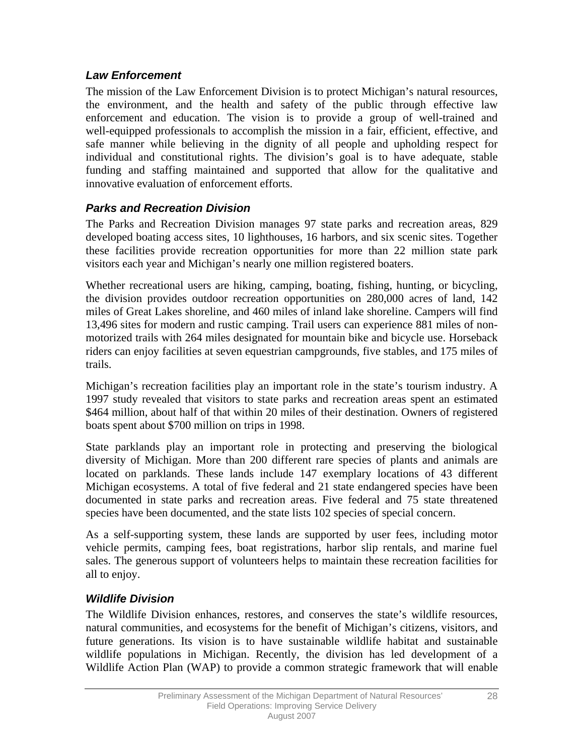### *Law Enforcement*

The mission of the Law Enforcement Division is to protect Michigan's natural resources, the environment, and the health and safety of the public through effective law enforcement and education. The vision is to provide a group of well-trained and well-equipped professionals to accomplish the mission in a fair, efficient, effective, and safe manner while believing in the dignity of all people and upholding respect for individual and constitutional rights. The division's goal is to have adequate, stable funding and staffing maintained and supported that allow for the qualitative and innovative evaluation of enforcement efforts.

# *Parks and Recreation Division*

The Parks and Recreation Division manages 97 state parks and recreation areas, 829 developed boating access sites, 10 lighthouses, 16 harbors, and six scenic sites. Together these facilities provide recreation opportunities for more than 22 million state park visitors each year and Michigan's nearly one million registered boaters.

Whether recreational users are hiking, camping, boating, fishing, hunting, or bicycling, the division provides outdoor recreation opportunities on 280,000 acres of land, 142 miles of Great Lakes shoreline, and 460 miles of inland lake shoreline. Campers will find 13,496 sites for modern and rustic camping. Trail users can experience 881 miles of nonmotorized trails with 264 miles designated for mountain bike and bicycle use. Horseback riders can enjoy facilities at seven equestrian campgrounds, five stables, and 175 miles of trails.

Michigan's recreation facilities play an important role in the state's tourism industry. A 1997 study revealed that visitors to state parks and recreation areas spent an estimated \$464 million, about half of that within 20 miles of their destination. Owners of registered boats spent about \$700 million on trips in 1998.

State parklands play an important role in protecting and preserving the biological diversity of Michigan. More than 200 different rare species of plants and animals are located on parklands. These lands include 147 exemplary locations of 43 different Michigan ecosystems. A total of five federal and 21 state endangered species have been documented in state parks and recreation areas. Five federal and 75 state threatened species have been documented, and the state lists 102 species of special concern.

As a self-supporting system, these lands are supported by user fees, including motor vehicle permits, camping fees, boat registrations, harbor slip rentals, and marine fuel sales. The generous support of volunteers helps to maintain these recreation facilities for all to enjoy.

# *Wildlife Division*

The Wildlife Division enhances, restores, and conserves the state's wildlife resources, natural communities, and ecosystems for the benefit of Michigan's citizens, visitors, and future generations. Its vision is to have sustainable wildlife habitat and sustainable wildlife populations in Michigan. Recently, the division has led development of a Wildlife Action Plan (WAP) to provide a common strategic framework that will enable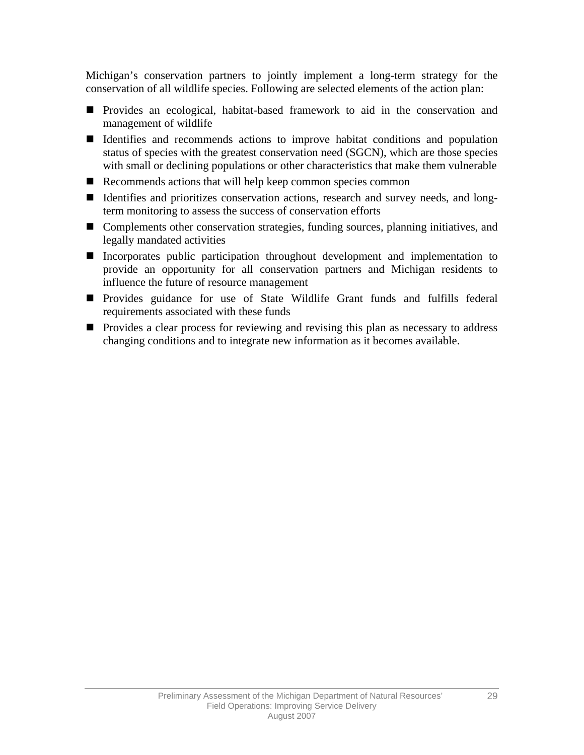Michigan's conservation partners to jointly implement a long-term strategy for the conservation of all wildlife species. Following are selected elements of the action plan:

- Provides an ecological, habitat-based framework to aid in the conservation and management of wildlife
- If Identifies and recommends actions to improve habitat conditions and population status of species with the greatest conservation need (SGCN), which are those species with small or declining populations or other characteristics that make them vulnerable
- Recommends actions that will help keep common species common
- Identifies and prioritizes conservation actions, research and survey needs, and longterm monitoring to assess the success of conservation efforts
- Complements other conservation strategies, funding sources, planning initiatives, and legally mandated activities
- Incorporates public participation throughout development and implementation to provide an opportunity for all conservation partners and Michigan residents to influence the future of resource management
- Provides guidance for use of State Wildlife Grant funds and fulfills federal requirements associated with these funds
- **Provides a clear process for reviewing and revising this plan as necessary to address** changing conditions and to integrate new information as it becomes available.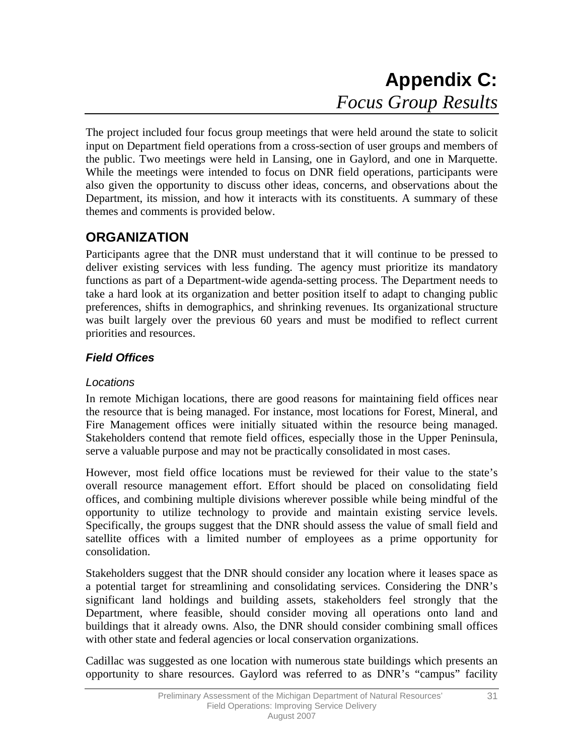The project included four focus group meetings that were held around the state to solicit input on Department field operations from a cross-section of user groups and members of the public. Two meetings were held in Lansing, one in Gaylord, and one in Marquette. While the meetings were intended to focus on DNR field operations, participants were also given the opportunity to discuss other ideas, concerns, and observations about the Department, its mission, and how it interacts with its constituents. A summary of these themes and comments is provided below.

# **ORGANIZATION**

Participants agree that the DNR must understand that it will continue to be pressed to deliver existing services with less funding. The agency must prioritize its mandatory functions as part of a Department-wide agenda-setting process. The Department needs to take a hard look at its organization and better position itself to adapt to changing public preferences, shifts in demographics, and shrinking revenues. Its organizational structure was built largely over the previous 60 years and must be modified to reflect current priorities and resources.

### *Field Offices*

#### *Locations*

In remote Michigan locations, there are good reasons for maintaining field offices near the resource that is being managed. For instance, most locations for Forest, Mineral, and Fire Management offices were initially situated within the resource being managed. Stakeholders contend that remote field offices, especially those in the Upper Peninsula, serve a valuable purpose and may not be practically consolidated in most cases.

However, most field office locations must be reviewed for their value to the state's overall resource management effort. Effort should be placed on consolidating field offices, and combining multiple divisions wherever possible while being mindful of the opportunity to utilize technology to provide and maintain existing service levels. Specifically, the groups suggest that the DNR should assess the value of small field and satellite offices with a limited number of employees as a prime opportunity for consolidation.

Stakeholders suggest that the DNR should consider any location where it leases space as a potential target for streamlining and consolidating services. Considering the DNR's significant land holdings and building assets, stakeholders feel strongly that the Department, where feasible, should consider moving all operations onto land and buildings that it already owns. Also, the DNR should consider combining small offices with other state and federal agencies or local conservation organizations.

Cadillac was suggested as one location with numerous state buildings which presents an opportunity to share resources. Gaylord was referred to as DNR's "campus" facility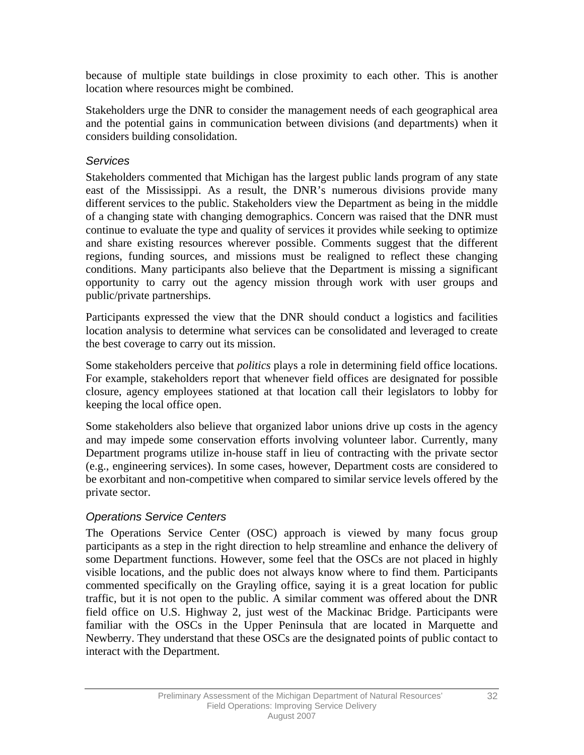because of multiple state buildings in close proximity to each other. This is another location where resources might be combined.

Stakeholders urge the DNR to consider the management needs of each geographical area and the potential gains in communication between divisions (and departments) when it considers building consolidation.

#### *Services*

Stakeholders commented that Michigan has the largest public lands program of any state east of the Mississippi. As a result, the DNR's numerous divisions provide many different services to the public. Stakeholders view the Department as being in the middle of a changing state with changing demographics. Concern was raised that the DNR must continue to evaluate the type and quality of services it provides while seeking to optimize and share existing resources wherever possible. Comments suggest that the different regions, funding sources, and missions must be realigned to reflect these changing conditions. Many participants also believe that the Department is missing a significant opportunity to carry out the agency mission through work with user groups and public/private partnerships.

Participants expressed the view that the DNR should conduct a logistics and facilities location analysis to determine what services can be consolidated and leveraged to create the best coverage to carry out its mission.

Some stakeholders perceive that *politics* plays a role in determining field office locations. For example, stakeholders report that whenever field offices are designated for possible closure, agency employees stationed at that location call their legislators to lobby for keeping the local office open.

Some stakeholders also believe that organized labor unions drive up costs in the agency and may impede some conservation efforts involving volunteer labor. Currently, many Department programs utilize in-house staff in lieu of contracting with the private sector (e.g., engineering services). In some cases, however, Department costs are considered to be exorbitant and non-competitive when compared to similar service levels offered by the private sector.

# *Operations Service Centers*

The Operations Service Center (OSC) approach is viewed by many focus group participants as a step in the right direction to help streamline and enhance the delivery of some Department functions. However, some feel that the OSCs are not placed in highly visible locations, and the public does not always know where to find them. Participants commented specifically on the Grayling office, saying it is a great location for public traffic, but it is not open to the public. A similar comment was offered about the DNR field office on U.S. Highway 2, just west of the Mackinac Bridge. Participants were familiar with the OSCs in the Upper Peninsula that are located in Marquette and Newberry. They understand that these OSCs are the designated points of public contact to interact with the Department.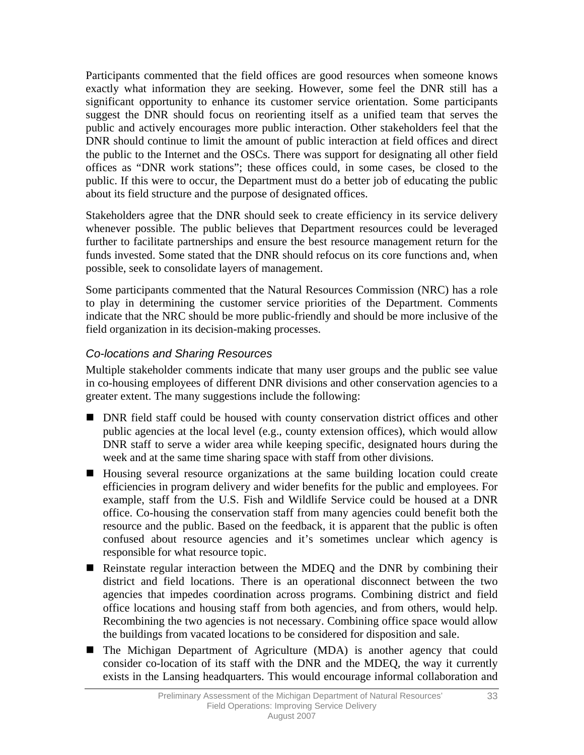Participants commented that the field offices are good resources when someone knows exactly what information they are seeking. However, some feel the DNR still has a significant opportunity to enhance its customer service orientation. Some participants suggest the DNR should focus on reorienting itself as a unified team that serves the public and actively encourages more public interaction. Other stakeholders feel that the DNR should continue to limit the amount of public interaction at field offices and direct the public to the Internet and the OSCs. There was support for designating all other field offices as "DNR work stations"; these offices could, in some cases, be closed to the public. If this were to occur, the Department must do a better job of educating the public about its field structure and the purpose of designated offices.

Stakeholders agree that the DNR should seek to create efficiency in its service delivery whenever possible. The public believes that Department resources could be leveraged further to facilitate partnerships and ensure the best resource management return for the funds invested. Some stated that the DNR should refocus on its core functions and, when possible, seek to consolidate layers of management.

Some participants commented that the Natural Resources Commission (NRC) has a role to play in determining the customer service priorities of the Department. Comments indicate that the NRC should be more public-friendly and should be more inclusive of the field organization in its decision-making processes.

### *Co-locations and Sharing Resources*

Multiple stakeholder comments indicate that many user groups and the public see value in co-housing employees of different DNR divisions and other conservation agencies to a greater extent. The many suggestions include the following:

- **DNR** field staff could be housed with county conservation district offices and other public agencies at the local level (e.g., county extension offices), which would allow DNR staff to serve a wider area while keeping specific, designated hours during the week and at the same time sharing space with staff from other divisions.
- Housing several resource organizations at the same building location could create efficiencies in program delivery and wider benefits for the public and employees. For example, staff from the U.S. Fish and Wildlife Service could be housed at a DNR office. Co-housing the conservation staff from many agencies could benefit both the resource and the public. Based on the feedback, it is apparent that the public is often confused about resource agencies and it's sometimes unclear which agency is responsible for what resource topic.
- Reinstate regular interaction between the MDEQ and the DNR by combining their district and field locations. There is an operational disconnect between the two agencies that impedes coordination across programs. Combining district and field office locations and housing staff from both agencies, and from others, would help. Recombining the two agencies is not necessary. Combining office space would allow the buildings from vacated locations to be considered for disposition and sale.
- The Michigan Department of Agriculture (MDA) is another agency that could consider co-location of its staff with the DNR and the MDEQ, the way it currently exists in the Lansing headquarters. This would encourage informal collaboration and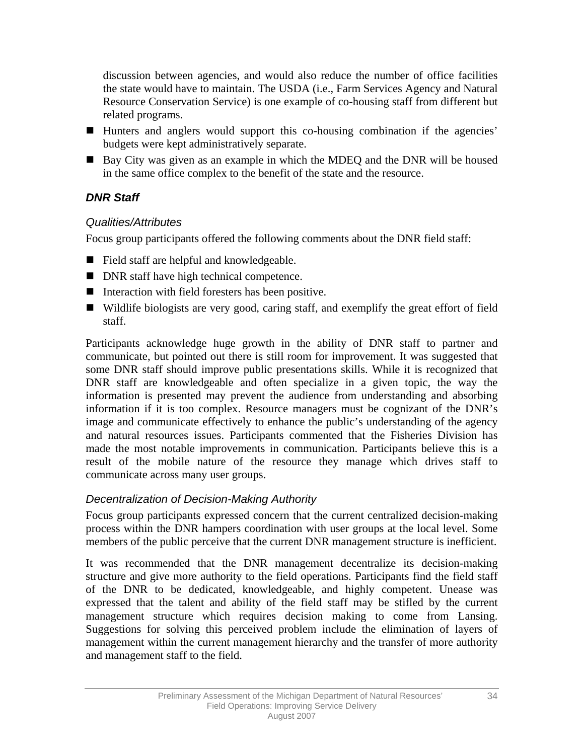discussion between agencies, and would also reduce the number of office facilities the state would have to maintain. The USDA (i.e., Farm Services Agency and Natural Resource Conservation Service) is one example of co-housing staff from different but related programs.

- Hunters and anglers would support this co-housing combination if the agencies' budgets were kept administratively separate.
- Bay City was given as an example in which the MDEQ and the DNR will be housed in the same office complex to the benefit of the state and the resource.

# *DNR Staff*

### *Qualities/Attributes*

Focus group participants offered the following comments about the DNR field staff:

- Field staff are helpful and knowledgeable.
- DNR staff have high technical competence.
- $\blacksquare$  Interaction with field foresters has been positive.
- Wildlife biologists are very good, caring staff, and exemplify the great effort of field staff.

Participants acknowledge huge growth in the ability of DNR staff to partner and communicate, but pointed out there is still room for improvement. It was suggested that some DNR staff should improve public presentations skills. While it is recognized that DNR staff are knowledgeable and often specialize in a given topic, the way the information is presented may prevent the audience from understanding and absorbing information if it is too complex. Resource managers must be cognizant of the DNR's image and communicate effectively to enhance the public's understanding of the agency and natural resources issues. Participants commented that the Fisheries Division has made the most notable improvements in communication. Participants believe this is a result of the mobile nature of the resource they manage which drives staff to communicate across many user groups.

# *Decentralization of Decision-Making Authority*

Focus group participants expressed concern that the current centralized decision-making process within the DNR hampers coordination with user groups at the local level. Some members of the public perceive that the current DNR management structure is inefficient.

It was recommended that the DNR management decentralize its decision-making structure and give more authority to the field operations. Participants find the field staff of the DNR to be dedicated, knowledgeable, and highly competent. Unease was expressed that the talent and ability of the field staff may be stifled by the current management structure which requires decision making to come from Lansing. Suggestions for solving this perceived problem include the elimination of layers of management within the current management hierarchy and the transfer of more authority and management staff to the field.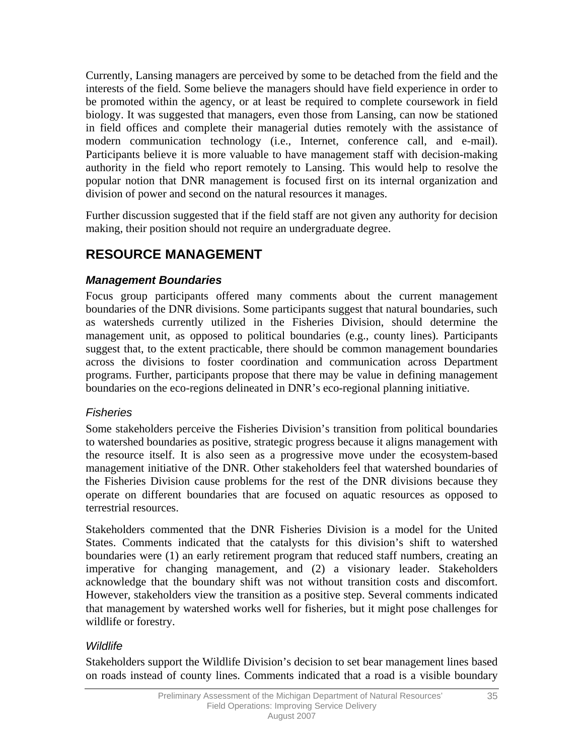Currently, Lansing managers are perceived by some to be detached from the field and the interests of the field. Some believe the managers should have field experience in order to be promoted within the agency, or at least be required to complete coursework in field biology. It was suggested that managers, even those from Lansing, can now be stationed in field offices and complete their managerial duties remotely with the assistance of modern communication technology (i.e., Internet, conference call, and e-mail). Participants believe it is more valuable to have management staff with decision-making authority in the field who report remotely to Lansing. This would help to resolve the popular notion that DNR management is focused first on its internal organization and division of power and second on the natural resources it manages.

Further discussion suggested that if the field staff are not given any authority for decision making, their position should not require an undergraduate degree.

# **RESOURCE MANAGEMENT**

#### *Management Boundaries*

Focus group participants offered many comments about the current management boundaries of the DNR divisions. Some participants suggest that natural boundaries, such as watersheds currently utilized in the Fisheries Division, should determine the management unit, as opposed to political boundaries (e.g., county lines). Participants suggest that, to the extent practicable, there should be common management boundaries across the divisions to foster coordination and communication across Department programs. Further, participants propose that there may be value in defining management boundaries on the eco-regions delineated in DNR's eco-regional planning initiative.

#### *Fisheries*

Some stakeholders perceive the Fisheries Division's transition from political boundaries to watershed boundaries as positive, strategic progress because it aligns management with the resource itself. It is also seen as a progressive move under the ecosystem-based management initiative of the DNR. Other stakeholders feel that watershed boundaries of the Fisheries Division cause problems for the rest of the DNR divisions because they operate on different boundaries that are focused on aquatic resources as opposed to terrestrial resources.

Stakeholders commented that the DNR Fisheries Division is a model for the United States. Comments indicated that the catalysts for this division's shift to watershed boundaries were (1) an early retirement program that reduced staff numbers, creating an imperative for changing management, and (2) a visionary leader. Stakeholders acknowledge that the boundary shift was not without transition costs and discomfort. However, stakeholders view the transition as a positive step. Several comments indicated that management by watershed works well for fisheries, but it might pose challenges for wildlife or forestry.

#### *Wildlife*

Stakeholders support the Wildlife Division's decision to set bear management lines based on roads instead of county lines. Comments indicated that a road is a visible boundary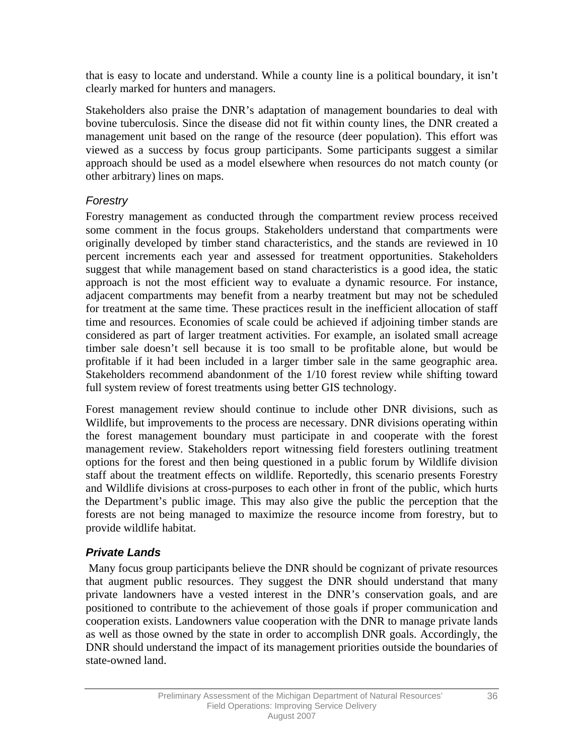that is easy to locate and understand. While a county line is a political boundary, it isn't clearly marked for hunters and managers.

Stakeholders also praise the DNR's adaptation of management boundaries to deal with bovine tuberculosis. Since the disease did not fit within county lines, the DNR created a management unit based on the range of the resource (deer population). This effort was viewed as a success by focus group participants. Some participants suggest a similar approach should be used as a model elsewhere when resources do not match county (or other arbitrary) lines on maps.

### *Forestry*

Forestry management as conducted through the compartment review process received some comment in the focus groups. Stakeholders understand that compartments were originally developed by timber stand characteristics, and the stands are reviewed in 10 percent increments each year and assessed for treatment opportunities. Stakeholders suggest that while management based on stand characteristics is a good idea, the static approach is not the most efficient way to evaluate a dynamic resource. For instance, adjacent compartments may benefit from a nearby treatment but may not be scheduled for treatment at the same time. These practices result in the inefficient allocation of staff time and resources. Economies of scale could be achieved if adjoining timber stands are considered as part of larger treatment activities. For example, an isolated small acreage timber sale doesn't sell because it is too small to be profitable alone, but would be profitable if it had been included in a larger timber sale in the same geographic area. Stakeholders recommend abandonment of the 1/10 forest review while shifting toward full system review of forest treatments using better GIS technology.

Forest management review should continue to include other DNR divisions, such as Wildlife, but improvements to the process are necessary. DNR divisions operating within the forest management boundary must participate in and cooperate with the forest management review. Stakeholders report witnessing field foresters outlining treatment options for the forest and then being questioned in a public forum by Wildlife division staff about the treatment effects on wildlife. Reportedly, this scenario presents Forestry and Wildlife divisions at cross-purposes to each other in front of the public, which hurts the Department's public image. This may also give the public the perception that the forests are not being managed to maximize the resource income from forestry, but to provide wildlife habitat.

# *Private Lands*

 Many focus group participants believe the DNR should be cognizant of private resources that augment public resources. They suggest the DNR should understand that many private landowners have a vested interest in the DNR's conservation goals, and are positioned to contribute to the achievement of those goals if proper communication and cooperation exists. Landowners value cooperation with the DNR to manage private lands as well as those owned by the state in order to accomplish DNR goals. Accordingly, the DNR should understand the impact of its management priorities outside the boundaries of state-owned land.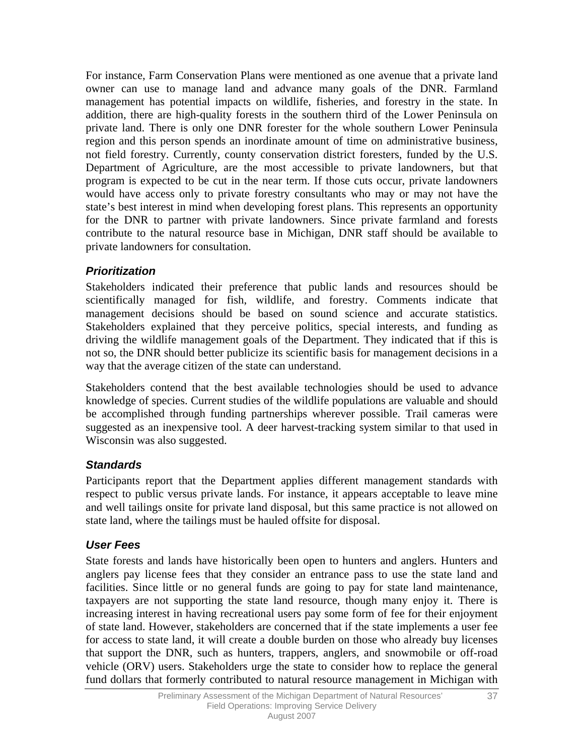For instance, Farm Conservation Plans were mentioned as one avenue that a private land owner can use to manage land and advance many goals of the DNR. Farmland management has potential impacts on wildlife, fisheries, and forestry in the state. In addition, there are high-quality forests in the southern third of the Lower Peninsula on private land. There is only one DNR forester for the whole southern Lower Peninsula region and this person spends an inordinate amount of time on administrative business, not field forestry. Currently, county conservation district foresters, funded by the U.S. Department of Agriculture, are the most accessible to private landowners, but that program is expected to be cut in the near term. If those cuts occur, private landowners would have access only to private forestry consultants who may or may not have the state's best interest in mind when developing forest plans. This represents an opportunity for the DNR to partner with private landowners. Since private farmland and forests contribute to the natural resource base in Michigan, DNR staff should be available to private landowners for consultation.

# *Prioritization*

Stakeholders indicated their preference that public lands and resources should be scientifically managed for fish, wildlife, and forestry. Comments indicate that management decisions should be based on sound science and accurate statistics. Stakeholders explained that they perceive politics, special interests, and funding as driving the wildlife management goals of the Department. They indicated that if this is not so, the DNR should better publicize its scientific basis for management decisions in a way that the average citizen of the state can understand.

Stakeholders contend that the best available technologies should be used to advance knowledge of species. Current studies of the wildlife populations are valuable and should be accomplished through funding partnerships wherever possible. Trail cameras were suggested as an inexpensive tool. A deer harvest-tracking system similar to that used in Wisconsin was also suggested.

# *Standards*

Participants report that the Department applies different management standards with respect to public versus private lands. For instance, it appears acceptable to leave mine and well tailings onsite for private land disposal, but this same practice is not allowed on state land, where the tailings must be hauled offsite for disposal.

# *User Fees*

State forests and lands have historically been open to hunters and anglers. Hunters and anglers pay license fees that they consider an entrance pass to use the state land and facilities. Since little or no general funds are going to pay for state land maintenance, taxpayers are not supporting the state land resource, though many enjoy it. There is increasing interest in having recreational users pay some form of fee for their enjoyment of state land. However, stakeholders are concerned that if the state implements a user fee for access to state land, it will create a double burden on those who already buy licenses that support the DNR, such as hunters, trappers, anglers, and snowmobile or off-road vehicle (ORV) users. Stakeholders urge the state to consider how to replace the general fund dollars that formerly contributed to natural resource management in Michigan with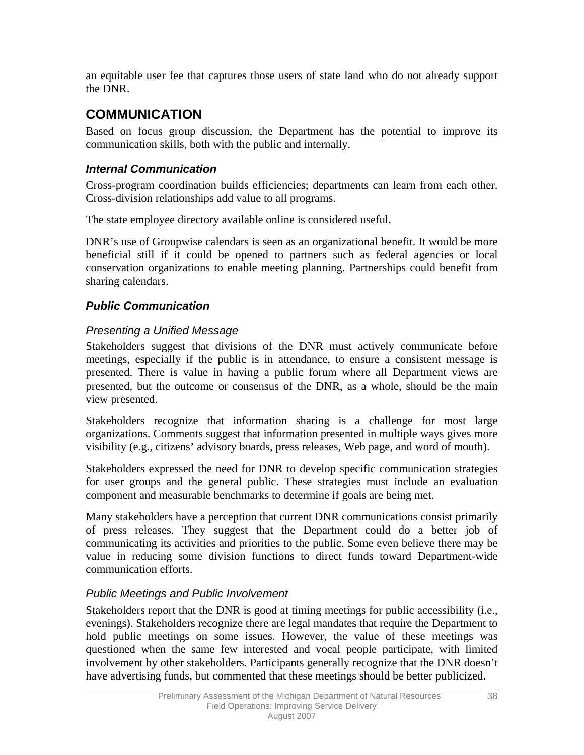an equitable user fee that captures those users of state land who do not already support the DNR.

# **COMMUNICATION**

Based on focus group discussion, the Department has the potential to improve its communication skills, both with the public and internally.

### *Internal Communication*

Cross-program coordination builds efficiencies; departments can learn from each other. Cross-division relationships add value to all programs.

The state employee directory available online is considered useful.

DNR's use of Groupwise calendars is seen as an organizational benefit. It would be more beneficial still if it could be opened to partners such as federal agencies or local conservation organizations to enable meeting planning. Partnerships could benefit from sharing calendars.

### *Public Communication*

### *Presenting a Unified Message*

Stakeholders suggest that divisions of the DNR must actively communicate before meetings, especially if the public is in attendance, to ensure a consistent message is presented. There is value in having a public forum where all Department views are presented, but the outcome or consensus of the DNR, as a whole, should be the main view presented.

Stakeholders recognize that information sharing is a challenge for most large organizations. Comments suggest that information presented in multiple ways gives more visibility (e.g., citizens' advisory boards, press releases, Web page, and word of mouth).

Stakeholders expressed the need for DNR to develop specific communication strategies for user groups and the general public. These strategies must include an evaluation component and measurable benchmarks to determine if goals are being met.

Many stakeholders have a perception that current DNR communications consist primarily of press releases. They suggest that the Department could do a better job of communicating its activities and priorities to the public. Some even believe there may be value in reducing some division functions to direct funds toward Department-wide communication efforts.

# *Public Meetings and Public Involvement*

Stakeholders report that the DNR is good at timing meetings for public accessibility (i.e., evenings). Stakeholders recognize there are legal mandates that require the Department to hold public meetings on some issues. However, the value of these meetings was questioned when the same few interested and vocal people participate, with limited involvement by other stakeholders. Participants generally recognize that the DNR doesn't have advertising funds, but commented that these meetings should be better publicized.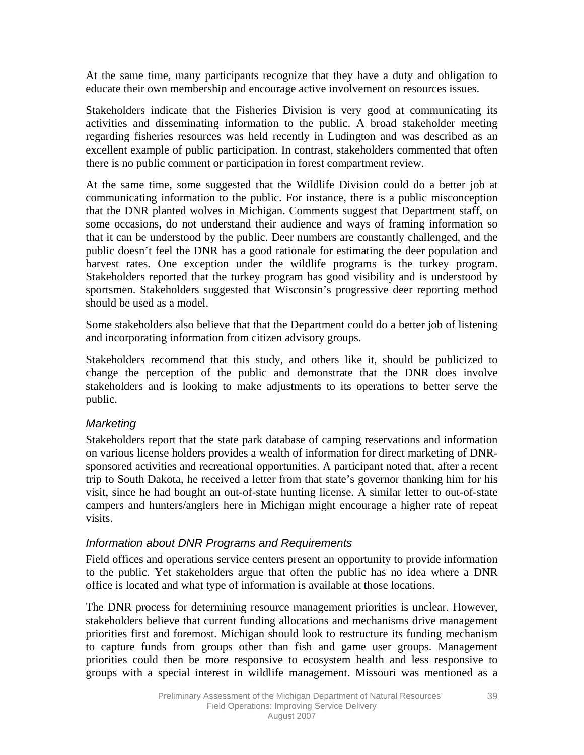At the same time, many participants recognize that they have a duty and obligation to educate their own membership and encourage active involvement on resources issues.

Stakeholders indicate that the Fisheries Division is very good at communicating its activities and disseminating information to the public. A broad stakeholder meeting regarding fisheries resources was held recently in Ludington and was described as an excellent example of public participation. In contrast, stakeholders commented that often there is no public comment or participation in forest compartment review.

At the same time, some suggested that the Wildlife Division could do a better job at communicating information to the public. For instance, there is a public misconception that the DNR planted wolves in Michigan. Comments suggest that Department staff, on some occasions, do not understand their audience and ways of framing information so that it can be understood by the public. Deer numbers are constantly challenged, and the public doesn't feel the DNR has a good rationale for estimating the deer population and harvest rates. One exception under the wildlife programs is the turkey program. Stakeholders reported that the turkey program has good visibility and is understood by sportsmen. Stakeholders suggested that Wisconsin's progressive deer reporting method should be used as a model.

Some stakeholders also believe that that the Department could do a better job of listening and incorporating information from citizen advisory groups.

Stakeholders recommend that this study, and others like it, should be publicized to change the perception of the public and demonstrate that the DNR does involve stakeholders and is looking to make adjustments to its operations to better serve the public.

#### *Marketing*

Stakeholders report that the state park database of camping reservations and information on various license holders provides a wealth of information for direct marketing of DNRsponsored activities and recreational opportunities. A participant noted that, after a recent trip to South Dakota, he received a letter from that state's governor thanking him for his visit, since he had bought an out-of-state hunting license. A similar letter to out-of-state campers and hunters/anglers here in Michigan might encourage a higher rate of repeat visits.

#### *Information about DNR Programs and Requirements*

Field offices and operations service centers present an opportunity to provide information to the public. Yet stakeholders argue that often the public has no idea where a DNR office is located and what type of information is available at those locations.

The DNR process for determining resource management priorities is unclear. However, stakeholders believe that current funding allocations and mechanisms drive management priorities first and foremost. Michigan should look to restructure its funding mechanism to capture funds from groups other than fish and game user groups. Management priorities could then be more responsive to ecosystem health and less responsive to groups with a special interest in wildlife management. Missouri was mentioned as a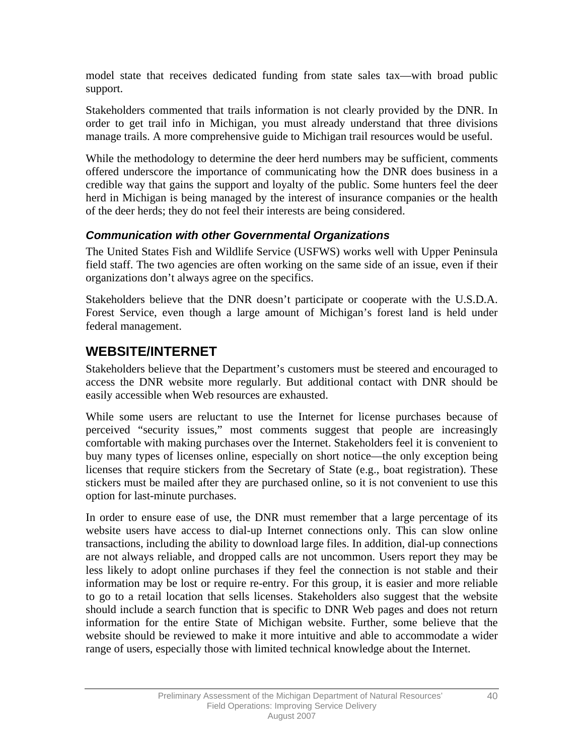model state that receives dedicated funding from state sales tax—with broad public support.

Stakeholders commented that trails information is not clearly provided by the DNR. In order to get trail info in Michigan, you must already understand that three divisions manage trails. A more comprehensive guide to Michigan trail resources would be useful.

While the methodology to determine the deer herd numbers may be sufficient, comments offered underscore the importance of communicating how the DNR does business in a credible way that gains the support and loyalty of the public. Some hunters feel the deer herd in Michigan is being managed by the interest of insurance companies or the health of the deer herds; they do not feel their interests are being considered.

#### *Communication with other Governmental Organizations*

The United States Fish and Wildlife Service (USFWS) works well with Upper Peninsula field staff. The two agencies are often working on the same side of an issue, even if their organizations don't always agree on the specifics.

Stakeholders believe that the DNR doesn't participate or cooperate with the U.S.D.A. Forest Service, even though a large amount of Michigan's forest land is held under federal management.

# **WEBSITE/INTERNET**

Stakeholders believe that the Department's customers must be steered and encouraged to access the DNR website more regularly. But additional contact with DNR should be easily accessible when Web resources are exhausted.

While some users are reluctant to use the Internet for license purchases because of perceived "security issues," most comments suggest that people are increasingly comfortable with making purchases over the Internet. Stakeholders feel it is convenient to buy many types of licenses online, especially on short notice—the only exception being licenses that require stickers from the Secretary of State (e.g., boat registration). These stickers must be mailed after they are purchased online, so it is not convenient to use this option for last-minute purchases.

In order to ensure ease of use, the DNR must remember that a large percentage of its website users have access to dial-up Internet connections only. This can slow online transactions, including the ability to download large files. In addition, dial-up connections are not always reliable, and dropped calls are not uncommon. Users report they may be less likely to adopt online purchases if they feel the connection is not stable and their information may be lost or require re-entry. For this group, it is easier and more reliable to go to a retail location that sells licenses. Stakeholders also suggest that the website should include a search function that is specific to DNR Web pages and does not return information for the entire State of Michigan website. Further, some believe that the website should be reviewed to make it more intuitive and able to accommodate a wider range of users, especially those with limited technical knowledge about the Internet.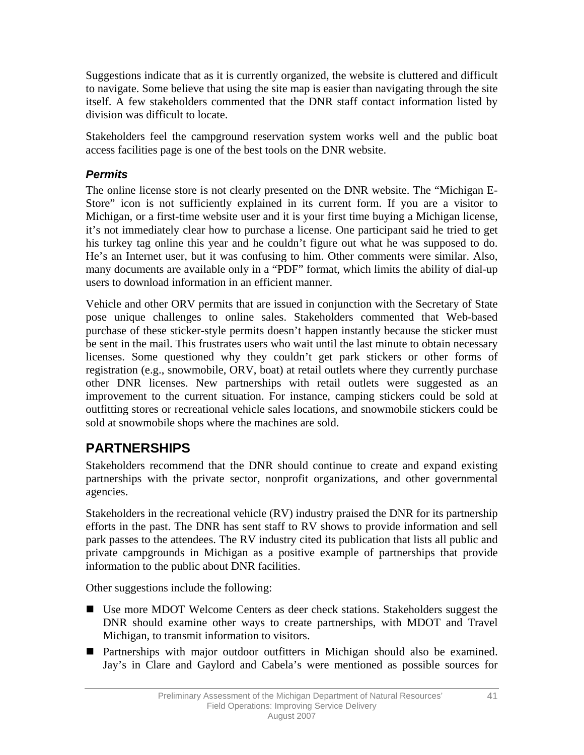Suggestions indicate that as it is currently organized, the website is cluttered and difficult to navigate. Some believe that using the site map is easier than navigating through the site itself. A few stakeholders commented that the DNR staff contact information listed by division was difficult to locate.

Stakeholders feel the campground reservation system works well and the public boat access facilities page is one of the best tools on the DNR website.

### *Permits*

The online license store is not clearly presented on the DNR website. The "Michigan E-Store" icon is not sufficiently explained in its current form. If you are a visitor to Michigan, or a first-time website user and it is your first time buying a Michigan license, it's not immediately clear how to purchase a license. One participant said he tried to get his turkey tag online this year and he couldn't figure out what he was supposed to do. He's an Internet user, but it was confusing to him. Other comments were similar. Also, many documents are available only in a "PDF" format, which limits the ability of dial-up users to download information in an efficient manner.

Vehicle and other ORV permits that are issued in conjunction with the Secretary of State pose unique challenges to online sales. Stakeholders commented that Web-based purchase of these sticker-style permits doesn't happen instantly because the sticker must be sent in the mail. This frustrates users who wait until the last minute to obtain necessary licenses. Some questioned why they couldn't get park stickers or other forms of registration (e.g., snowmobile, ORV, boat) at retail outlets where they currently purchase other DNR licenses. New partnerships with retail outlets were suggested as an improvement to the current situation. For instance, camping stickers could be sold at outfitting stores or recreational vehicle sales locations, and snowmobile stickers could be sold at snowmobile shops where the machines are sold.

# **PARTNERSHIPS**

Stakeholders recommend that the DNR should continue to create and expand existing partnerships with the private sector, nonprofit organizations, and other governmental agencies.

Stakeholders in the recreational vehicle (RV) industry praised the DNR for its partnership efforts in the past. The DNR has sent staff to RV shows to provide information and sell park passes to the attendees. The RV industry cited its publication that lists all public and private campgrounds in Michigan as a positive example of partnerships that provide information to the public about DNR facilities.

Other suggestions include the following:

- Use more MDOT Welcome Centers as deer check stations. Stakeholders suggest the DNR should examine other ways to create partnerships, with MDOT and Travel Michigan, to transmit information to visitors.
- Partnerships with major outdoor outfitters in Michigan should also be examined. Jay's in Clare and Gaylord and Cabela's were mentioned as possible sources for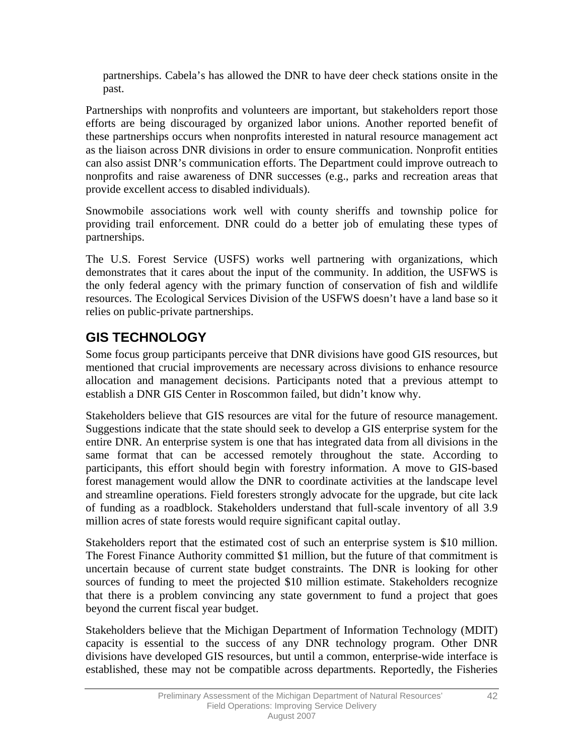partnerships. Cabela's has allowed the DNR to have deer check stations onsite in the past.

Partnerships with nonprofits and volunteers are important, but stakeholders report those efforts are being discouraged by organized labor unions. Another reported benefit of these partnerships occurs when nonprofits interested in natural resource management act as the liaison across DNR divisions in order to ensure communication. Nonprofit entities can also assist DNR's communication efforts. The Department could improve outreach to nonprofits and raise awareness of DNR successes (e.g., parks and recreation areas that provide excellent access to disabled individuals).

Snowmobile associations work well with county sheriffs and township police for providing trail enforcement. DNR could do a better job of emulating these types of partnerships.

The U.S. Forest Service (USFS) works well partnering with organizations, which demonstrates that it cares about the input of the community. In addition, the USFWS is the only federal agency with the primary function of conservation of fish and wildlife resources. The Ecological Services Division of the USFWS doesn't have a land base so it relies on public-private partnerships.

# **GIS TECHNOLOGY**

Some focus group participants perceive that DNR divisions have good GIS resources, but mentioned that crucial improvements are necessary across divisions to enhance resource allocation and management decisions. Participants noted that a previous attempt to establish a DNR GIS Center in Roscommon failed, but didn't know why.

Stakeholders believe that GIS resources are vital for the future of resource management. Suggestions indicate that the state should seek to develop a GIS enterprise system for the entire DNR. An enterprise system is one that has integrated data from all divisions in the same format that can be accessed remotely throughout the state. According to participants, this effort should begin with forestry information. A move to GIS-based forest management would allow the DNR to coordinate activities at the landscape level and streamline operations. Field foresters strongly advocate for the upgrade, but cite lack of funding as a roadblock. Stakeholders understand that full-scale inventory of all 3.9 million acres of state forests would require significant capital outlay.

Stakeholders report that the estimated cost of such an enterprise system is \$10 million. The Forest Finance Authority committed \$1 million, but the future of that commitment is uncertain because of current state budget constraints. The DNR is looking for other sources of funding to meet the projected \$10 million estimate. Stakeholders recognize that there is a problem convincing any state government to fund a project that goes beyond the current fiscal year budget.

Stakeholders believe that the Michigan Department of Information Technology (MDIT) capacity is essential to the success of any DNR technology program. Other DNR divisions have developed GIS resources, but until a common, enterprise-wide interface is established, these may not be compatible across departments. Reportedly, the Fisheries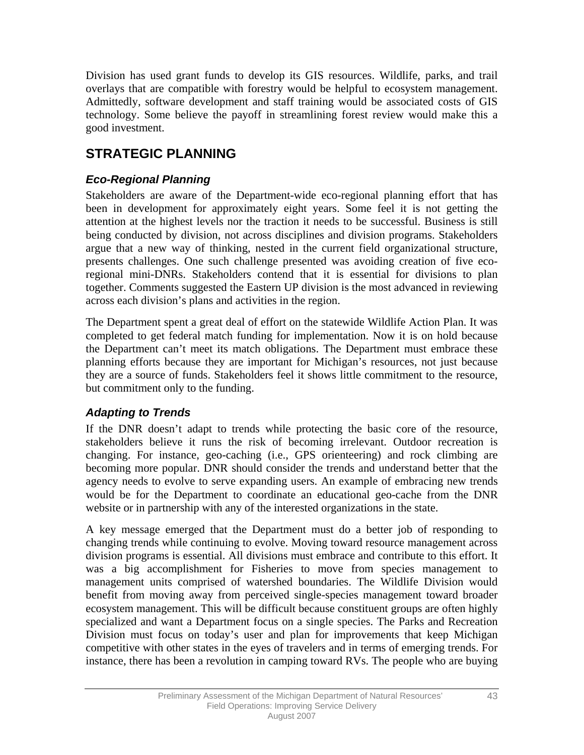Division has used grant funds to develop its GIS resources. Wildlife, parks, and trail overlays that are compatible with forestry would be helpful to ecosystem management. Admittedly, software development and staff training would be associated costs of GIS technology. Some believe the payoff in streamlining forest review would make this a good investment.

# **STRATEGIC PLANNING**

# *Eco-Regional Planning*

Stakeholders are aware of the Department-wide eco-regional planning effort that has been in development for approximately eight years. Some feel it is not getting the attention at the highest levels nor the traction it needs to be successful. Business is still being conducted by division, not across disciplines and division programs. Stakeholders argue that a new way of thinking, nested in the current field organizational structure, presents challenges. One such challenge presented was avoiding creation of five ecoregional mini-DNRs. Stakeholders contend that it is essential for divisions to plan together. Comments suggested the Eastern UP division is the most advanced in reviewing across each division's plans and activities in the region.

The Department spent a great deal of effort on the statewide Wildlife Action Plan. It was completed to get federal match funding for implementation. Now it is on hold because the Department can't meet its match obligations. The Department must embrace these planning efforts because they are important for Michigan's resources, not just because they are a source of funds. Stakeholders feel it shows little commitment to the resource, but commitment only to the funding.

# *Adapting to Trends*

If the DNR doesn't adapt to trends while protecting the basic core of the resource, stakeholders believe it runs the risk of becoming irrelevant. Outdoor recreation is changing. For instance, geo-caching (i.e., GPS orienteering) and rock climbing are becoming more popular. DNR should consider the trends and understand better that the agency needs to evolve to serve expanding users. An example of embracing new trends would be for the Department to coordinate an educational geo-cache from the DNR website or in partnership with any of the interested organizations in the state.

A key message emerged that the Department must do a better job of responding to changing trends while continuing to evolve. Moving toward resource management across division programs is essential. All divisions must embrace and contribute to this effort. It was a big accomplishment for Fisheries to move from species management to management units comprised of watershed boundaries. The Wildlife Division would benefit from moving away from perceived single-species management toward broader ecosystem management. This will be difficult because constituent groups are often highly specialized and want a Department focus on a single species. The Parks and Recreation Division must focus on today's user and plan for improvements that keep Michigan competitive with other states in the eyes of travelers and in terms of emerging trends. For instance, there has been a revolution in camping toward RVs. The people who are buying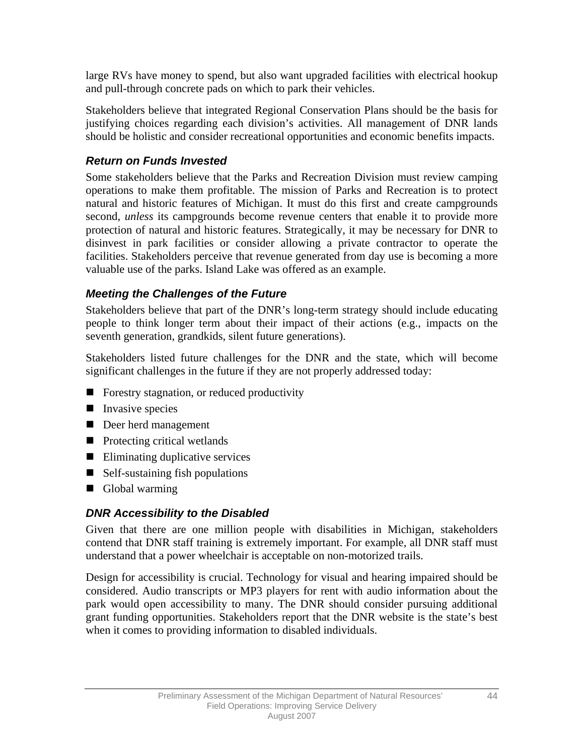large RVs have money to spend, but also want upgraded facilities with electrical hookup and pull-through concrete pads on which to park their vehicles.

Stakeholders believe that integrated Regional Conservation Plans should be the basis for justifying choices regarding each division's activities. All management of DNR lands should be holistic and consider recreational opportunities and economic benefits impacts.

#### *Return on Funds Invested*

Some stakeholders believe that the Parks and Recreation Division must review camping operations to make them profitable. The mission of Parks and Recreation is to protect natural and historic features of Michigan. It must do this first and create campgrounds second, *unless* its campgrounds become revenue centers that enable it to provide more protection of natural and historic features. Strategically, it may be necessary for DNR to disinvest in park facilities or consider allowing a private contractor to operate the facilities. Stakeholders perceive that revenue generated from day use is becoming a more valuable use of the parks. Island Lake was offered as an example.

### *Meeting the Challenges of the Future*

Stakeholders believe that part of the DNR's long-term strategy should include educating people to think longer term about their impact of their actions (e.g., impacts on the seventh generation, grandkids, silent future generations).

Stakeholders listed future challenges for the DNR and the state, which will become significant challenges in the future if they are not properly addressed today:

- Forestry stagnation, or reduced productivity
- $\blacksquare$  Invasive species
- Deer herd management
- $\blacksquare$  Protecting critical wetlands
- $\blacksquare$  Eliminating duplicative services
- Self-sustaining fish populations
- Global warming

#### *DNR Accessibility to the Disabled*

Given that there are one million people with disabilities in Michigan, stakeholders contend that DNR staff training is extremely important. For example, all DNR staff must understand that a power wheelchair is acceptable on non-motorized trails.

Design for accessibility is crucial. Technology for visual and hearing impaired should be considered. Audio transcripts or MP3 players for rent with audio information about the park would open accessibility to many. The DNR should consider pursuing additional grant funding opportunities. Stakeholders report that the DNR website is the state's best when it comes to providing information to disabled individuals.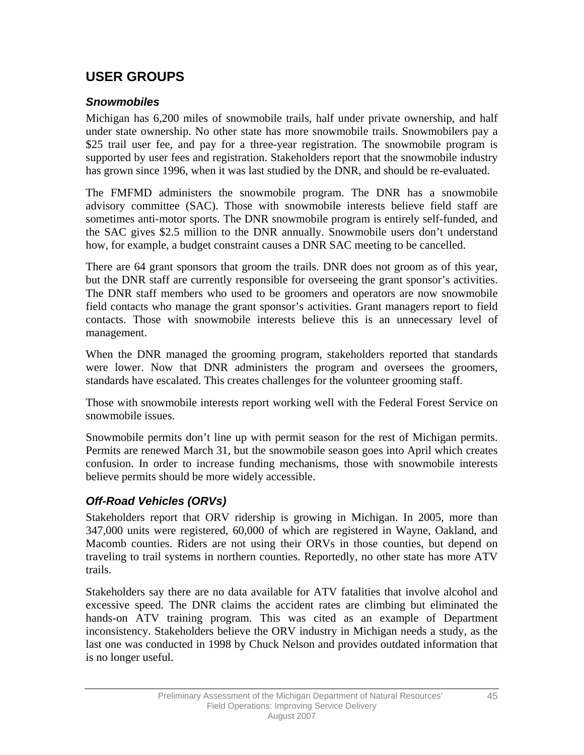# **USER GROUPS**

### *Snowmobiles*

Michigan has 6,200 miles of snowmobile trails, half under private ownership, and half under state ownership. No other state has more snowmobile trails. Snowmobilers pay a \$25 trail user fee, and pay for a three-year registration. The snowmobile program is supported by user fees and registration. Stakeholders report that the snowmobile industry has grown since 1996, when it was last studied by the DNR, and should be re-evaluated.

The FMFMD administers the snowmobile program. The DNR has a snowmobile advisory committee (SAC). Those with snowmobile interests believe field staff are sometimes anti-motor sports. The DNR snowmobile program is entirely self-funded, and the SAC gives \$2.5 million to the DNR annually. Snowmobile users don't understand how, for example, a budget constraint causes a DNR SAC meeting to be cancelled.

There are 64 grant sponsors that groom the trails. DNR does not groom as of this year, but the DNR staff are currently responsible for overseeing the grant sponsor's activities. The DNR staff members who used to be groomers and operators are now snowmobile field contacts who manage the grant sponsor's activities. Grant managers report to field contacts. Those with snowmobile interests believe this is an unnecessary level of management.

When the DNR managed the grooming program, stakeholders reported that standards were lower. Now that DNR administers the program and oversees the groomers, standards have escalated. This creates challenges for the volunteer grooming staff.

Those with snowmobile interests report working well with the Federal Forest Service on snowmobile issues.

Snowmobile permits don't line up with permit season for the rest of Michigan permits. Permits are renewed March 31, but the snowmobile season goes into April which creates confusion. In order to increase funding mechanisms, those with snowmobile interests believe permits should be more widely accessible.

# *Off-Road Vehicles (ORVs)*

Stakeholders report that ORV ridership is growing in Michigan. In 2005, more than 347,000 units were registered, 60,000 of which are registered in Wayne, Oakland, and Macomb counties. Riders are not using their ORVs in those counties, but depend on traveling to trail systems in northern counties. Reportedly, no other state has more ATV trails.

Stakeholders say there are no data available for ATV fatalities that involve alcohol and excessive speed. The DNR claims the accident rates are climbing but eliminated the hands-on ATV training program. This was cited as an example of Department inconsistency. Stakeholders believe the ORV industry in Michigan needs a study, as the last one was conducted in 1998 by Chuck Nelson and provides outdated information that is no longer useful.